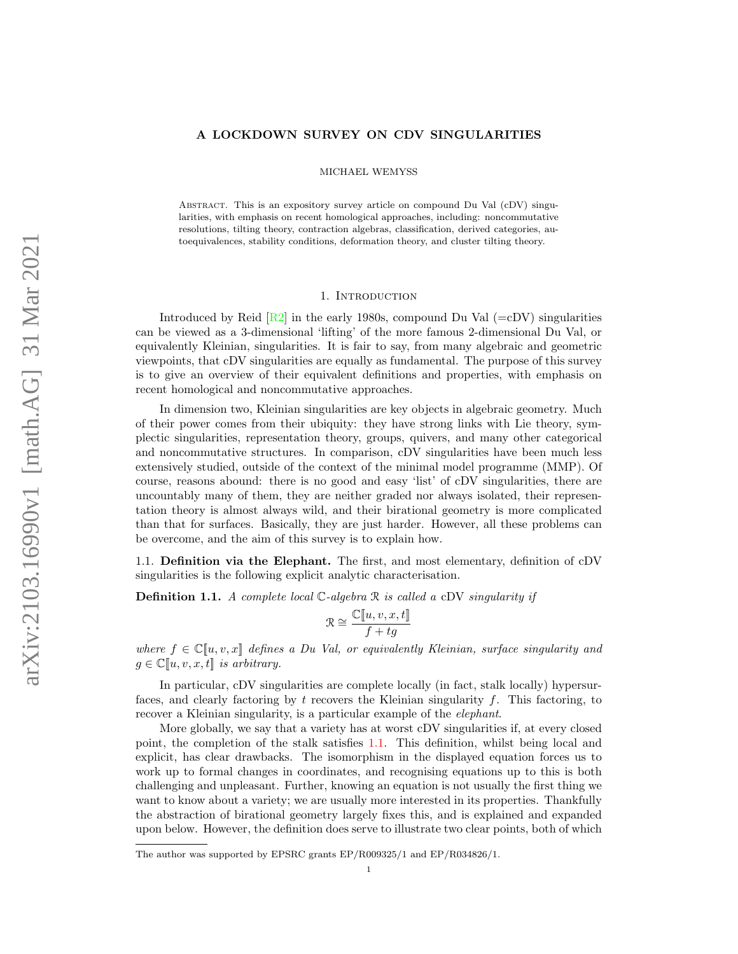## A LOCKDOWN SURVEY ON CDV SINGULARITIES

MICHAEL WEMYSS

Abstract. This is an expository survey article on compound Du Val (cDV) singularities, with emphasis on recent homological approaches, including: noncommutative resolutions, tilting theory, contraction algebras, classification, derived categories, autoequivalences, stability conditions, deformation theory, and cluster tilting theory.

## 1. INTRODUCTION

Introduced by Reid  $\left[\text{R2}\right]$  in the early 1980s, compound Du Val  $\left(=\text{cDV}\right)$  singularities can be viewed as a 3-dimensional 'lifting' of the more famous 2-dimensional Du Val, or equivalently Kleinian, singularities. It is fair to say, from many algebraic and geometric viewpoints, that cDV singularities are equally as fundamental. The purpose of this survey is to give an overview of their equivalent definitions and properties, with emphasis on recent homological and noncommutative approaches.

In dimension two, Kleinian singularities are key objects in algebraic geometry. Much of their power comes from their ubiquity: they have strong links with Lie theory, symplectic singularities, representation theory, groups, quivers, and many other categorical and noncommutative structures. In comparison, cDV singularities have been much less extensively studied, outside of the context of the minimal model programme (MMP). Of course, reasons abound: there is no good and easy 'list' of cDV singularities, there are uncountably many of them, they are neither graded nor always isolated, their representation theory is almost always wild, and their birational geometry is more complicated than that for surfaces. Basically, they are just harder. However, all these problems can be overcome, and the aim of this survey is to explain how.

1.1. Definition via the Elephant. The first, and most elementary, definition of cDV singularities is the following explicit analytic characterisation.

<span id="page-0-0"></span>**Definition 1.1.** A complete local  $\mathbb{C}$ -algebra  $\mathbb{R}$  is called a cDV singularity if

$$
\mathcal{R} \cong \frac{\mathbb{C}[\![u,v,x,t]\!]}{f+tg}
$$

where  $f \in \mathbb{C}[[u, v, x]]$  defines a Du Val, or equivalently Kleinian, surface singularity and  $g \in \mathbb{C}[u, v, x, t]$  is arbitrary.

In particular, cDV singularities are complete locally (in fact, stalk locally) hypersurfaces, and clearly factoring by t recovers the Kleinian singularity f. This factoring, to recover a Kleinian singularity, is a particular example of the elephant.

More globally, we say that a variety has at worst cDV singularities if, at every closed point, the completion of the stalk satisfies [1.1.](#page-0-0) This definition, whilst being local and explicit, has clear drawbacks. The isomorphism in the displayed equation forces us to work up to formal changes in coordinates, and recognising equations up to this is both challenging and unpleasant. Further, knowing an equation is not usually the first thing we want to know about a variety; we are usually more interested in its properties. Thankfully the abstraction of birational geometry largely fixes this, and is explained and expanded upon below. However, the definition does serve to illustrate two clear points, both of which

The author was supported by EPSRC grants EP/R009325/1 and EP/R034826/1.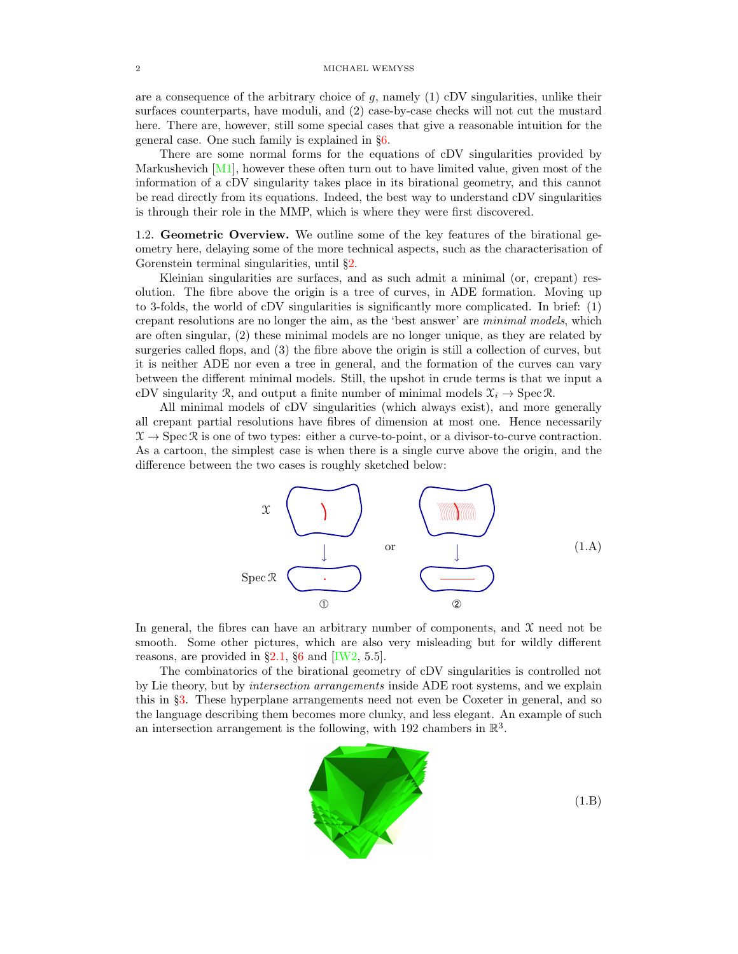are a consequence of the arbitrary choice of  $g$ , namely  $(1)$  cDV singularities, unlike their surfaces counterparts, have moduli, and (2) case-by-case checks will not cut the mustard here. There are, however, still some special cases that give a reasonable intuition for the general case. One such family is explained in §[6.](#page-22-0)

There are some normal forms for the equations of cDV singularities provided by Markushevich  $[M1]$ , however these often turn out to have limited value, given most of the information of a cDV singularity takes place in its birational geometry, and this cannot be read directly from its equations. Indeed, the best way to understand cDV singularities is through their role in the MMP, which is where they were first discovered.

<span id="page-1-1"></span>1.2. Geometric Overview. We outline some of the key features of the birational geometry here, delaying some of the more technical aspects, such as the characterisation of Gorenstein terminal singularities, until §[2.](#page-8-0)

Kleinian singularities are surfaces, and as such admit a minimal (or, crepant) resolution. The fibre above the origin is a tree of curves, in ADE formation. Moving up to 3-folds, the world of cDV singularities is significantly more complicated. In brief: (1) crepant resolutions are no longer the aim, as the 'best answer' are minimal models, which are often singular, (2) these minimal models are no longer unique, as they are related by surgeries called flops, and (3) the fibre above the origin is still a collection of curves, but it is neither ADE nor even a tree in general, and the formation of the curves can vary between the different minimal models. Still, the upshot in crude terms is that we input a cDV singularity R, and output a finite number of minimal models  $\mathcal{X}_i \to \text{Spec } \mathcal{R}$ .

All minimal models of cDV singularities (which always exist), and more generally all crepant partial resolutions have fibres of dimension at most one. Hence necessarily  $\mathcal{X} \to \text{Spec } \mathcal{R}$  is one of two types: either a curve-to-point, or a divisor-to-curve contraction. As a cartoon, the simplest case is when there is a single curve above the origin, and the difference between the two cases is roughly sketched below:

<span id="page-1-0"></span>

In general, the fibres can have an arbitrary number of components, and  $\mathfrak X$  need not be smooth. Some other pictures, which are also very misleading but for wildly different reasons, are provided in  $\S2.1$ ,  $\S6$  $\S6$  and [\[IW2,](#page-28-0) 5.5].

The combinatorics of the birational geometry of cDV singularities is controlled not by Lie theory, but by intersection arrangements inside ADE root systems, and we explain this in §[3.](#page-12-0) These hyperplane arrangements need not even be Coxeter in general, and so the language describing them becomes more clunky, and less elegant. An example of such an intersection arrangement is the following, with 192 chambers in  $\mathbb{R}^3$ .

<span id="page-1-2"></span>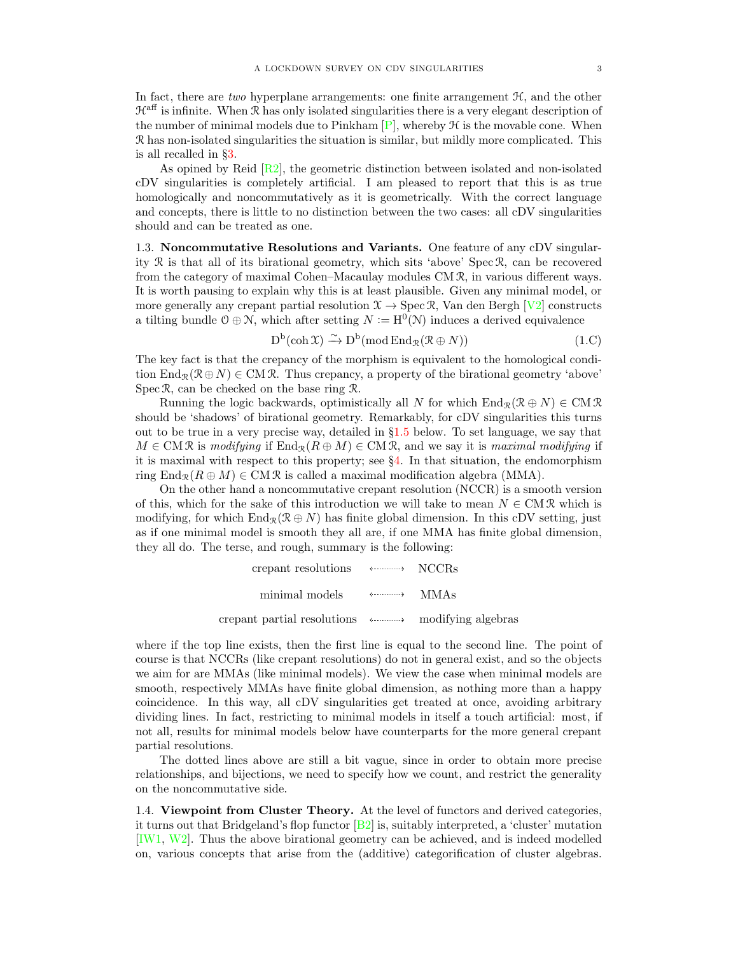In fact, there are two hyperplane arrangements: one finite arrangement  $H$ , and the other  $\mathcal{H}^{\text{aff}}$  is infinite. When R has only isolated singularities there is a very elegant description of the number of minimal models due to Pinkham  $[P]$ , whereby  $H$  is the movable cone. When R has non-isolated singularities the situation is similar, but mildly more complicated. This is all recalled in §[3.](#page-12-0)

As opined by Reid  $\left[\frac{R}{2}\right]$ , the geometric distinction between isolated and non-isolated cDV singularities is completely artificial. I am pleased to report that this is as true homologically and noncommutatively as it is geometrically. With the correct language and concepts, there is little to no distinction between the two cases: all cDV singularities should and can be treated as one.

<span id="page-2-0"></span>1.3. Noncommutative Resolutions and Variants. One feature of any cDV singularity R is that all of its birational geometry, which sits 'above' Spec R, can be recovered from the category of maximal Cohen–Macaulay modules CM R, in various different ways. It is worth pausing to explain why this is at least plausible. Given any minimal model, or more generally any crepant partial resolution  $\mathcal{X} \to \text{Spec } \mathcal{R}$ , Van den Bergh [\[V2\]](#page-29-3) constructs a tilting bundle  $0 \oplus N$ , which after setting  $N := H^0(N)$  induces a derived equivalence

<span id="page-2-1"></span>
$$
D^{b}(\operatorname{coh} \mathfrak{X}) \xrightarrow{\sim} D^{b}(\operatorname{mod} \operatorname{End}_{\mathfrak{X}}(\mathfrak{X} \oplus N))
$$
 (1.C)

The key fact is that the crepancy of the morphism is equivalent to the homological condition  $\text{End}_{\mathcal{R}}(\mathcal{R} \oplus N) \in \text{CM } \mathcal{R}$ . Thus crepancy, a property of the birational geometry 'above' Spec R, can be checked on the base ring R.

Running the logic backwards, optimistically all N for which  $\text{End}_{\mathcal{R}}(\mathcal{R} \oplus N) \in \text{CM } \mathcal{R}$ should be 'shadows' of birational geometry. Remarkably, for cDV singularities this turns out to be true in a very precise way, detailed in §[1.5](#page-3-0) below. To set language, we say that  $M \in \text{CM } \mathcal{R}$  is modifying if  $\text{End}_{\mathcal{R}}(R \oplus M) \in \text{CM } \mathcal{R}$ , and we say it is maximal modifying if it is maximal with respect to this property; see §[4.](#page-15-0) In that situation, the endomorphism ring  $\text{End}_{\mathcal{R}}(R \oplus M) \in \text{CM } \mathcal{R}$  is called a maximal modification algebra (MMA).

On the other hand a noncommutative crepant resolution (NCCR) is a smooth version of this, which for the sake of this introduction we will take to mean  $N \in \mathbb{C} \mathbb{M} \mathcal{R}$  which is modifying, for which  $\text{End}_{\mathcal{R}}(\mathcal{R} \oplus N)$  has finite global dimension. In this cDV setting, just as if one minimal model is smooth they all are, if one MMA has finite global dimension, they all do. The terse, and rough, summary is the following:

> crepant resolutions  $\langle \cdots \cdots \cdots \cdots \cdots \rangle$ NCCRs minimal models MMAs crepant partial resolutions modifying algebras  $\longrightarrow$  -  $\longrightarrow$

where if the top line exists, then the first line is equal to the second line. The point of course is that NCCRs (like crepant resolutions) do not in general exist, and so the objects we aim for are MMAs (like minimal models). We view the case when minimal models are smooth, respectively MMAs have finite global dimension, as nothing more than a happy coincidence. In this way, all cDV singularities get treated at once, avoiding arbitrary dividing lines. In fact, restricting to minimal models in itself a touch artificial: most, if not all, results for minimal models below have counterparts for the more general crepant partial resolutions.

The dotted lines above are still a bit vague, since in order to obtain more precise relationships, and bijections, we need to specify how we count, and restrict the generality on the noncommutative side.

1.4. Viewpoint from Cluster Theory. At the level of functors and derived categories, it turns out that Bridgeland's flop functor  $[B_2]$  is, suitably interpreted, a 'cluster' mutation [\[IW1,](#page-28-2) [W2\]](#page-29-4). Thus the above birational geometry can be achieved, and is indeed modelled on, various concepts that arise from the (additive) categorification of cluster algebras.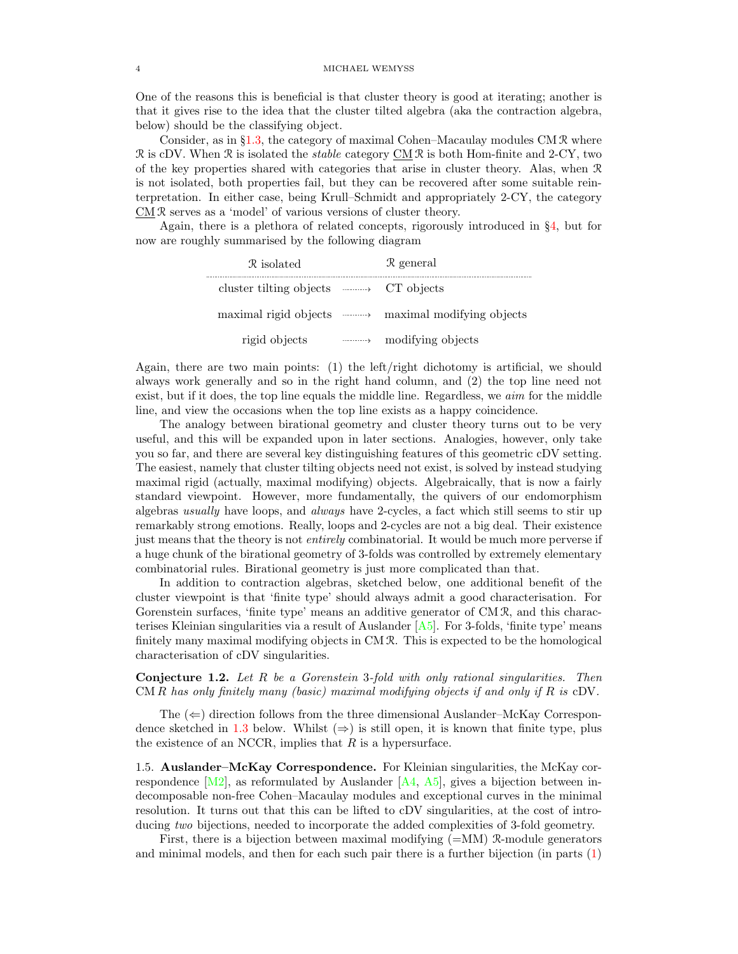One of the reasons this is beneficial is that cluster theory is good at iterating; another is that it gives rise to the idea that the cluster tilted algebra (aka the contraction algebra, below) should be the classifying object.

Consider, as in §[1.3,](#page-2-0) the category of maximal Cohen–Macaulay modules CM R where R is cDV. When R is isolated the *stable* category  $CMR$  is both Hom-finite and 2-CY, two of the key properties shared with categories that arise in cluster theory. Alas, when R is not isolated, both properties fail, but they can be recovered after some suitable reinterpretation. In either case, being Krull–Schmidt and appropriately 2-CY, the category  $\underline{CM} \mathcal{R}$  serves as a 'model' of various versions of cluster theory.

Again, there is a plethora of related concepts, rigorously introduced in §[4,](#page-15-0) but for now are roughly summarised by the following diagram

| R isolated                                           |                                                  | $\mathcal{R}$ general                           |
|------------------------------------------------------|--------------------------------------------------|-------------------------------------------------|
| cluster tilting objects $\longrightarrow$ CT objects |                                                  |                                                 |
|                                                      |                                                  | maximal rigid objects maximal modifying objects |
| rigid objects                                        | $\cdots \cdots \cdots \cdots \rightarrow \cdots$ | modifying objects                               |

Again, there are two main points: (1) the left/right dichotomy is artificial, we should always work generally and so in the right hand column, and (2) the top line need not exist, but if it does, the top line equals the middle line. Regardless, we *aim* for the middle line, and view the occasions when the top line exists as a happy coincidence.

The analogy between birational geometry and cluster theory turns out to be very useful, and this will be expanded upon in later sections. Analogies, however, only take you so far, and there are several key distinguishing features of this geometric cDV setting. The easiest, namely that cluster tilting objects need not exist, is solved by instead studying maximal rigid (actually, maximal modifying) objects. Algebraically, that is now a fairly standard viewpoint. However, more fundamentally, the quivers of our endomorphism algebras usually have loops, and always have 2-cycles, a fact which still seems to stir up remarkably strong emotions. Really, loops and 2-cycles are not a big deal. Their existence just means that the theory is not entirely combinatorial. It would be much more perverse if a huge chunk of the birational geometry of 3-folds was controlled by extremely elementary combinatorial rules. Birational geometry is just more complicated than that.

In addition to contraction algebras, sketched below, one additional benefit of the cluster viewpoint is that 'finite type' should always admit a good characterisation. For Gorenstein surfaces, 'finite type' means an additive generator of CM R, and this characterises Kleinian singularities via a result of Auslander  $[A5]$ . For 3-folds, 'finite type' means finitely many maximal modifying objects in CM R. This is expected to be the homological characterisation of cDV singularities.

Conjecture 1.2. Let R be a Gorenstein 3-fold with only rational singularities. Then  $CM R$  has only finitely many (basic) maximal modifying objects if and only if R is cDV.

The  $(\Leftarrow)$  direction follows from the three dimensional Auslander–McKay Correspon-dence sketched in [1.3](#page-4-0) below. Whilst  $(\Rightarrow)$  is still open, it is known that finite type, plus the existence of an NCCR, implies that  $R$  is a hypersurface.

<span id="page-3-0"></span>1.5. Auslander–McKay Correspondence. For Kleinian singularities, the McKay correspondence  $[M2]$ , as reformulated by Auslander  $[A4, A5]$  $[A4, A5]$ , gives a bijection between indecomposable non-free Cohen–Macaulay modules and exceptional curves in the minimal resolution. It turns out that this can be lifted to cDV singularities, at the cost of introducing two bijections, needed to incorporate the added complexities of 3-fold geometry.

First, there is a bijection between maximal modifying  $(=\text{MM})$  R-module generators and minimal models, and then for each such pair there is a further bijection (in parts  $(1)$ )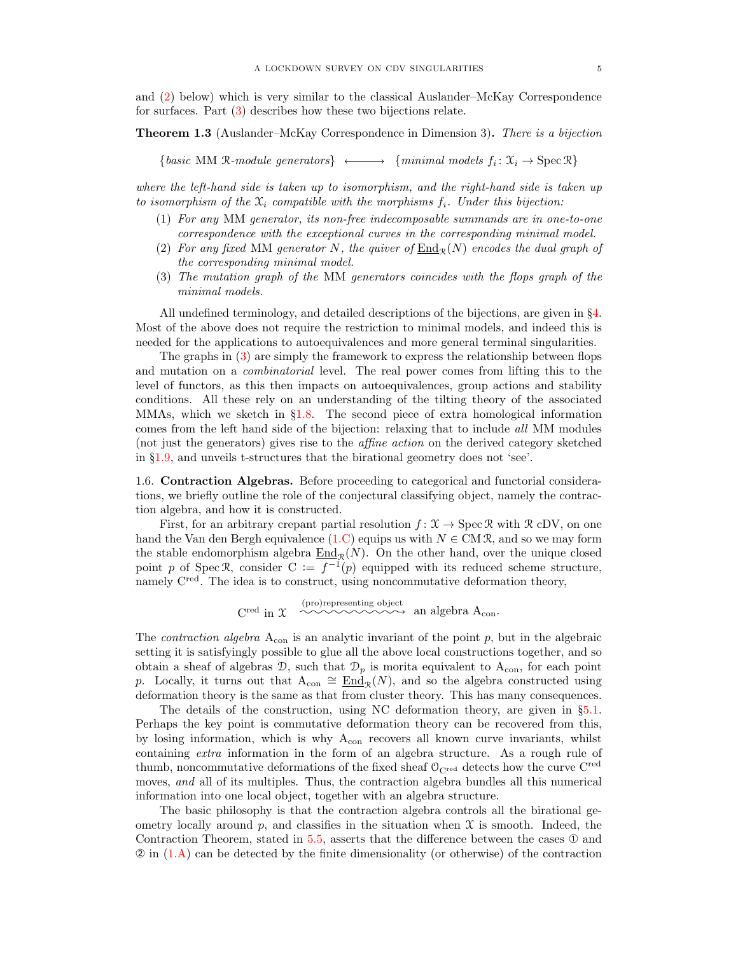and [\(2\)](#page-4-2) below) which is very similar to the classical Auslander–McKay Correspondence for surfaces. Part [\(3\)](#page-4-3) describes how these two bijections relate.

<span id="page-4-0"></span>Theorem 1.3 (Auslander–McKay Correspondence in Dimension 3). There is a bijection

{basic MM R-module generators}  $\longleftrightarrow$  {minimal models  $f_i: \mathfrak{X}_i \to \text{Spec } \mathbb{R}$ }

where the left-hand side is taken up to isomorphism, and the right-hand side is taken up to isomorphism of the  $\mathfrak{X}_i$  compatible with the morphisms  $f_i$ . Under this bijection:

- <span id="page-4-1"></span>(1) For any MM generator, its non-free indecomposable summands are in one-to-one correspondence with the exceptional curves in the corresponding minimal model.
- <span id="page-4-2"></span>(2) For any fixed MM generator N, the quiver of  $\text{End}_{\mathcal{P}}(N)$  encodes the dual graph of the corresponding minimal model.
- <span id="page-4-3"></span>(3) The mutation graph of the MM generators coincides with the flops graph of the minimal models.

All undefined terminology, and detailed descriptions of the bijections, are given in §[4.](#page-15-0) Most of the above does not require the restriction to minimal models, and indeed this is needed for the applications to autoequivalences and more general terminal singularities.

The graphs in [\(3\)](#page-4-3) are simply the framework to express the relationship between flops and mutation on a combinatorial level. The real power comes from lifting this to the level of functors, as this then impacts on autoequivalences, group actions and stability conditions. All these rely on an understanding of the tilting theory of the associated MMAs, which we sketch in §[1.8.](#page-5-0) The second piece of extra homological information comes from the left hand side of the bijection: relaxing that to include all MM modules (not just the generators) gives rise to the affine action on the derived category sketched in §[1.9,](#page-6-0) and unveils t-structures that the birational geometry does not 'see'.

1.6. Contraction Algebras. Before proceeding to categorical and functorial considerations, we briefly outline the role of the conjectural classifying object, namely the contraction algebra, and how it is constructed.

First, for an arbitrary crepant partial resolution  $f: \mathcal{X} \to \text{Spec } \mathcal{R}$  with  $\mathcal{R}$  cDV, on one hand the Van den Bergh equivalence [\(1.C\)](#page-2-1) equips us with  $N \in CM\mathcal{R}$ , and so we may form the stable endomorphism algebra  $\underline{End}_{\mathcal{R}}(N)$ . On the other hand, over the unique closed point p of Spec R, consider  $C := f^{-1}(p)$  equipped with its reduced scheme structure, namely C<sup>red</sup>. The idea is to construct, using noncommutative deformation theory,

$$
C^{\rm red} \text{ in } \mathfrak{X} \xrightarrow{\hspace{0.5cm} \text{(pro)representing object}} \text{an algebra } A_{\rm con}.
$$

The *contraction algebra*  $A_{con}$  is an analytic invariant of the point p, but in the algebraic setting it is satisfyingly possible to glue all the above local constructions together, and so obtain a sheaf of algebras  $\mathcal{D}$ , such that  $\mathcal{D}_p$  is morita equivalent to  $A_{con}$ , for each point p. Locally, it turns out that  $A_{con} \cong \underline{End}_{\mathcal{R}}(N)$ , and so the algebra constructed using deformation theory is the same as that from cluster theory. This has many consequences.

The details of the construction, using NC deformation theory, are given in §[5.1.](#page-17-0) Perhaps the key point is commutative deformation theory can be recovered from this, by losing information, which is why Acon recovers all known curve invariants, whilst containing extra information in the form of an algebra structure. As a rough rule of thumb, noncommutative deformations of the fixed sheaf  $O_{C^{red}}$  detects how the curve C<sup>red</sup> moves, and all of its multiples. Thus, the contraction algebra bundles all this numerical information into one local object, together with an algebra structure.

The basic philosophy is that the contraction algebra controls all the birational geometry locally around p, and classifies in the situation when  $\mathfrak X$  is smooth. Indeed, the Contraction Theorem, stated in [5.5,](#page-20-0) asserts that the difference between the cases  $\mathcal D$  and  $\mathcal{D}$  in  $(1.A)$  can be detected by the finite dimensionality (or otherwise) of the contraction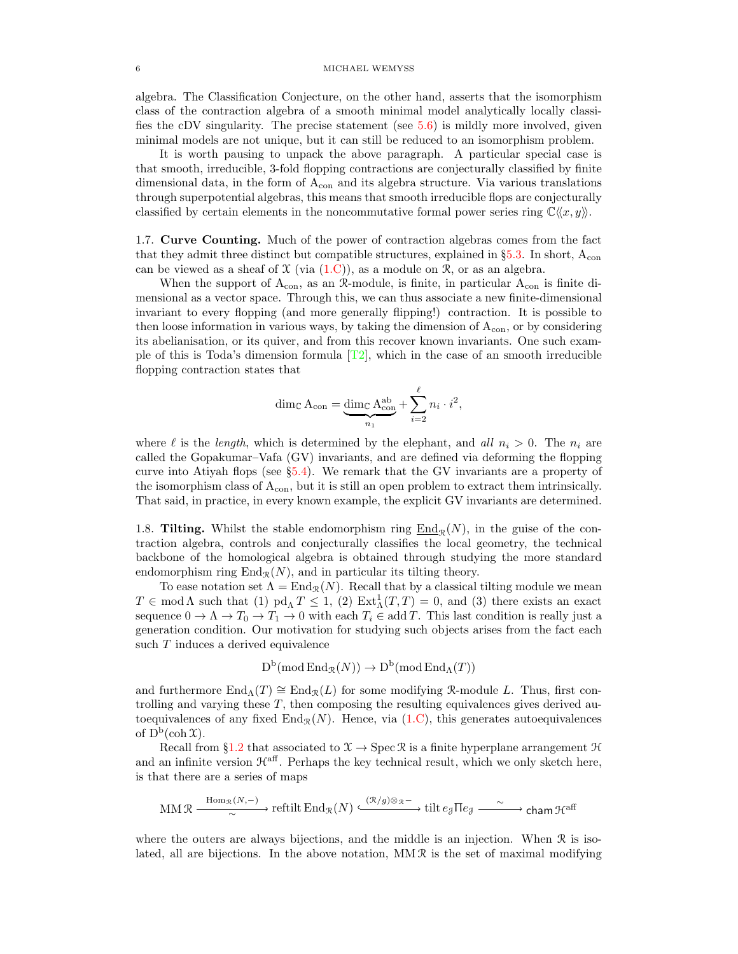algebra. The Classification Conjecture, on the other hand, asserts that the isomorphism class of the contraction algebra of a smooth minimal model analytically locally classifies the cDV singularity. The precise statement (see [5.6\)](#page-20-1) is mildly more involved, given minimal models are not unique, but it can still be reduced to an isomorphism problem.

It is worth pausing to unpack the above paragraph. A particular special case is that smooth, irreducible, 3-fold flopping contractions are conjecturally classified by finite dimensional data, in the form of  $A_{con}$  and its algebra structure. Via various translations through superpotential algebras, this means that smooth irreducible flops are conjecturally classified by certain elements in the noncommutative formal power series ring  $\mathbb{C}\langle x, y \rangle$ .

1.7. Curve Counting. Much of the power of contraction algebras comes from the fact that they admit three distinct but compatible structures, explained in  $\S5.3$ . In short,  $A_{\rm con}$ can be viewed as a sheaf of  $\mathfrak X$  (via  $(1.C)$ ), as a module on  $\mathfrak R$ , or as an algebra.

When the support of  $A_{con}$ , as an  $\mathcal{R}\text{-module}$ , is finite, in particular  $A_{con}$  is finite dimensional as a vector space. Through this, we can thus associate a new finite-dimensional invariant to every flopping (and more generally flipping!) contraction. It is possible to then loose information in various ways, by taking the dimension of  $A_{con}$ , or by considering its abelianisation, or its quiver, and from this recover known invariants. One such example of this is Toda's dimension formula  $[T2]$ , which in the case of an smooth irreducible flopping contraction states that

$$
\dim_{\mathbb{C}} A_{\text{con}} = \underbrace{\dim_{\mathbb{C}} A_{\text{con}}^{\text{ab}}} _{n_1} + \sum_{i=2}^{\ell} n_i \cdot i^2,
$$

where  $\ell$  is the length, which is determined by the elephant, and all  $n_i > 0$ . The  $n_i$  are called the Gopakumar–Vafa (GV) invariants, and are defined via deforming the flopping curve into Atiyah flops (see §[5.4\)](#page-21-0). We remark that the GV invariants are a property of the isomorphism class of  $A_{con}$ , but it is still an open problem to extract them intrinsically. That said, in practice, in every known example, the explicit GV invariants are determined.

<span id="page-5-0"></span>1.8. **Tilting.** Whilst the stable endomorphism ring  $\underline{End}_{\mathcal{R}}(N)$ , in the guise of the contraction algebra, controls and conjecturally classifies the local geometry, the technical backbone of the homological algebra is obtained through studying the more standard endomorphism ring  $\text{End}_{\mathcal{R}}(N)$ , and in particular its tilting theory.

To ease notation set  $\Lambda = \text{End}_{\mathcal{R}}(N)$ . Recall that by a classical tilting module we mean  $T \in \text{mod }\Lambda$  such that (1)  $\text{pd}_{\Lambda} T \leq 1$ , (2)  $\text{Ext}^1_{\Lambda}(T,T) = 0$ , and (3) there exists an exact sequence  $0 \to \Lambda \to T_0 \to T_1 \to 0$  with each  $T_i \in \text{add } T$ . This last condition is really just a generation condition. Our motivation for studying such objects arises from the fact each such T induces a derived equivalence

$$
D^b(\operatorname{mod} \operatorname{End}_R(N)) \to D^b(\operatorname{mod} \operatorname{End}_\Lambda(T))
$$

and furthermore  $\text{End}_{\Lambda}(T) \cong \text{End}_{\mathcal{R}}(L)$  for some modifying R-module L. Thus, first controlling and varying these  $T$ , then composing the resulting equivalences gives derived autoequivalences of any fixed  $\text{End}_{\mathcal{R}}(N)$ . Hence, via [\(1.C\)](#page-2-1), this generates autoequivalences of  $D^b(\operatorname{coh} \mathfrak{X}).$ 

Recall from §[1.2](#page-1-1) that associated to  $\mathcal{X} \to \text{Spec } \mathcal{R}$  is a finite hyperplane arrangement  $\mathcal{H}$ and an infinite version  $\mathcal{H}^{\text{aff}}$ . Perhaps the key technical result, which we only sketch here, is that there are a series of maps

$$
\operatorname{MM}\mathcal{R} \xrightarrow{\operatorname{Hom}_{\mathcal{R}}(N,-)} \operatorname{reftilt} \operatorname{End}_{\mathcal{R}}(N) \xrightarrow{(\mathcal{R}/g)\otimes_{\mathcal{R}} -} \operatorname{tilt} \operatorname{g}\nolimits \operatorname{H} e_{\mathcal{J}} \xrightarrow{\sim} \operatorname{cham}\nolimits \mathcal{H}^{\operatorname{aff}}
$$

where the outers are always bijections, and the middle is an injection. When  $\mathcal R$  is isolated, all are bijections. In the above notation,  $MM \mathcal{R}$  is the set of maximal modifying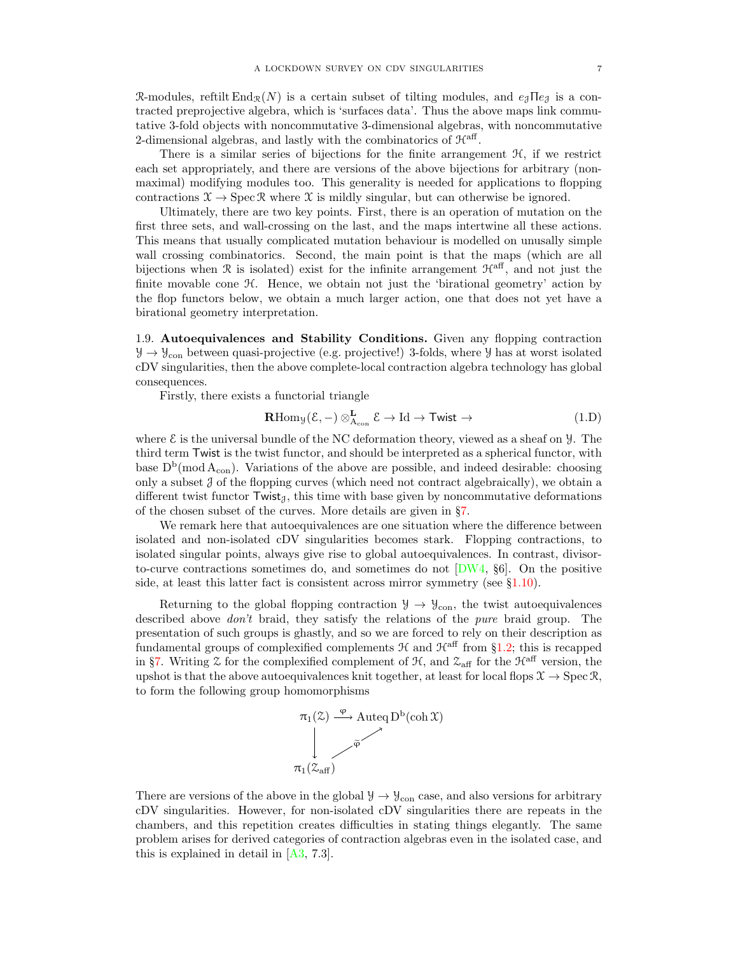R-modules, reftilt End<sub>R</sub>(N) is a certain subset of tilting modules, and  $e_4\text{Te}_4$  is a contracted preprojective algebra, which is 'surfaces data'. Thus the above maps link commutative 3-fold objects with noncommutative 3-dimensional algebras, with noncommutative 2-dimensional algebras, and lastly with the combinatorics of  $H<sup>aff</sup>$ .

There is a similar series of bijections for the finite arrangement  $H$ , if we restrict each set appropriately, and there are versions of the above bijections for arbitrary (nonmaximal) modifying modules too. This generality is needed for applications to flopping contractions  $\mathfrak{X} \to \operatorname{Spec} \mathfrak{X}$  where  $\mathfrak{X}$  is mildly singular, but can otherwise be ignored.

Ultimately, there are two key points. First, there is an operation of mutation on the first three sets, and wall-crossing on the last, and the maps intertwine all these actions. This means that usually complicated mutation behaviour is modelled on unusally simple wall crossing combinatorics. Second, the main point is that the maps (which are all bijections when R is isolated) exist for the infinite arrangement  $\mathcal{H}^{\text{aff}}$ , and not just the finite movable cone H. Hence, we obtain not just the 'birational geometry' action by the flop functors below, we obtain a much larger action, one that does not yet have a birational geometry interpretation.

<span id="page-6-0"></span>1.9. Autoequivalences and Stability Conditions. Given any flopping contraction  $\mathcal{Y} \to \mathcal{Y}_{con}$  between quasi-projective (e.g. projective!) 3-folds, where  $\mathcal{Y}$  has at worst isolated cDV singularities, then the above complete-local contraction algebra technology has global consequences.

Firstly, there exists a functorial triangle

<span id="page-6-1"></span>
$$
\mathbf{R}\mathrm{Hom}_{\mathcal{Y}}(\mathcal{E},-) \otimes_{\mathcal{A}_{con}}^{\mathbf{L}} \mathcal{E} \to \mathrm{Id} \to \mathsf{Twist} \to \tag{1.D}
$$

where  $\mathcal E$  is the universal bundle of the NC deformation theory, viewed as a sheaf on  $\mathcal Y$ . The third term Twist is the twist functor, and should be interpreted as a spherical functor, with base  $D^b(\text{mod }A_{con})$ . Variations of the above are possible, and indeed desirable: choosing only a subset  $J$  of the flopping curves (which need not contract algebraically), we obtain a different twist functor  $Twist_{\mathcal{J}}$ , this time with base given by noncommutative deformations of the chosen subset of the curves. More details are given in §[7.](#page-24-0)

We remark here that autoequivalences are one situation where the difference between isolated and non-isolated cDV singularities becomes stark. Flopping contractions, to isolated singular points, always give rise to global autoequivalences. In contrast, divisorto-curve contractions sometimes do, and sometimes do not  $[DW4, §6]$ . On the positive side, at least this latter fact is consistent across mirror symmetry (see  $\S1.10$ ).

Returning to the global flopping contraction  $\mathcal{Y} \to \mathcal{Y}_{con}$ , the twist autoequivalences described above *don't* braid, they satisfy the relations of the *pure* braid group. The presentation of such groups is ghastly, and so we are forced to rely on their description as fundamental groups of complexified complements  $H$  and  $\mathcal{H}^{\text{aff}}$  from §[1.2;](#page-1-1) this is recapped in §[7.](#page-24-0) Writing  $\mathfrak X$  for the complexified complement of  $\mathfrak H$ , and  $\mathfrak X_{\text{aff}}$  for the  $\mathfrak H^{\text{aff}}$  version, the upshot is that the above autoequivalences knit together, at least for local flops  $\mathcal{X} \to \text{Spec } \mathcal{R}$ , to form the following group homomorphisms



There are versions of the above in the global  $\mathcal{Y} \to \mathcal{Y}_{con}$  case, and also versions for arbitrary cDV singularities. However, for non-isolated cDV singularities there are repeats in the chambers, and this repetition creates difficulties in stating things elegantly. The same problem arises for derived categories of contraction algebras even in the isolated case, and this is explained in detail in  $[A3, 7.3]$ .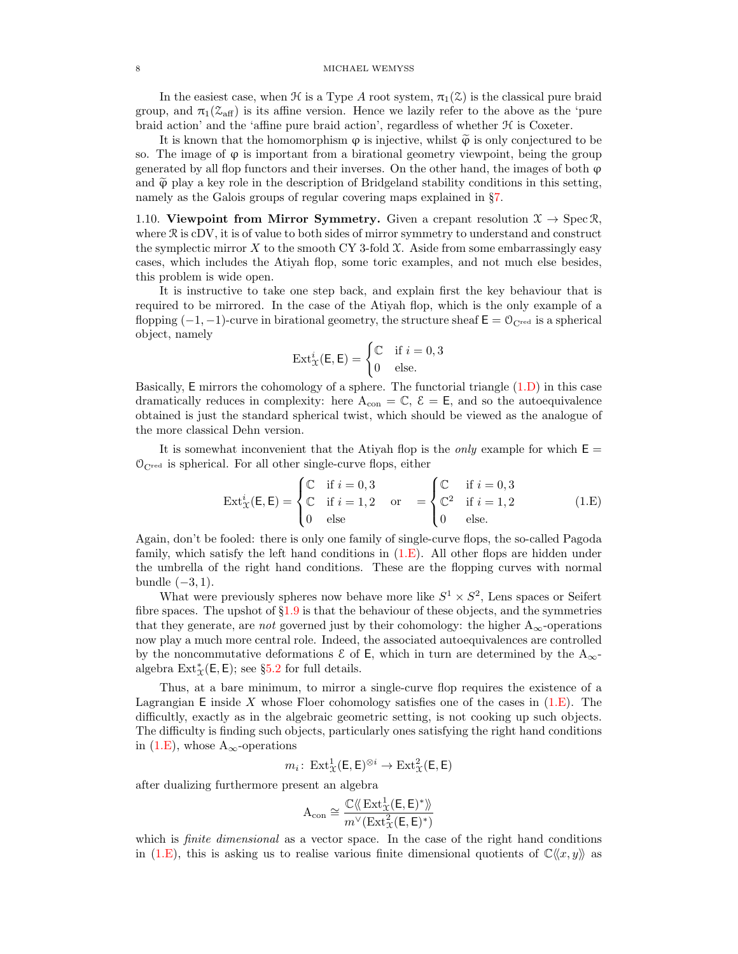### 8 MICHAEL WEMYSS

In the easiest case, when  $\mathcal H$  is a Type A root system,  $\pi_1(\mathcal Z)$  is the classical pure braid group, and  $\pi_1(\mathcal{Z}_{\text{aff}})$  is its affine version. Hence we lazily refer to the above as the 'pure braid action' and the 'affine pure braid action', regardless of whether  $H$  is Coxeter.

It is known that the homomorphism  $\varphi$  is injective, whilst  $\widetilde{\varphi}$  is only conjectured to be so. The image of  $\varphi$  is important from a birational geometry viewpoint, being the group generated by all flop functors and their inverses. On the other hand, the images of both  $\varphi$ and  $\tilde{\varphi}$  play a key role in the description of Bridgeland stability conditions in this setting, namely as the Galois groups of regular covering maps explained in §[7.](#page-24-0)

<span id="page-7-0"></span>1.10. Viewpoint from Mirror Symmetry. Given a crepant resolution  $\mathfrak{X} \to \text{Spec } \mathfrak{R}$ , where  $\Re$  is cDV, it is of value to both sides of mirror symmetry to understand and construct the symplectic mirror X to the smooth CY 3-fold  $\mathfrak{X}$ . Aside from some embarrassingly easy cases, which includes the Atiyah flop, some toric examples, and not much else besides, this problem is wide open.

It is instructive to take one step back, and explain first the key behaviour that is required to be mirrored. In the case of the Atiyah flop, which is the only example of a flopping  $(-1, -1)$ -curve in birational geometry, the structure sheaf  $\mathsf{E} = \mathcal{O}_{\mathsf{C}^{\text{red}}}$  is a spherical object, namely

$$
\operatorname{Ext}^i_{\mathfrak{X}}(\mathsf{E}, \mathsf{E}) = \begin{cases} \mathbb{C} & \text{if } i = 0, 3 \\ 0 & \text{else.} \end{cases}
$$

Basically, E mirrors the cohomology of a sphere. The functorial triangle [\(1.D\)](#page-6-1) in this case dramatically reduces in complexity: here  $A_{con} = \mathbb{C}, \mathcal{E} = \mathsf{E}$ , and so the autoequivalence obtained is just the standard spherical twist, which should be viewed as the analogue of the more classical Dehn version.

It is somewhat inconvenient that the Atiyah flop is the *only* example for which  $E =$  $\mathcal{O}_{\mathbf{C}^{\text{red}}}$  is spherical. For all other single-curve flops, either

<span id="page-7-1"></span>
$$
Ext_{\mathcal{X}}^{i}(\mathsf{E}, \mathsf{E}) = \begin{cases} \mathbb{C} & \text{if } i = 0, 3 \\ \mathbb{C} & \text{if } i = 1, 2 \\ 0 & \text{else} \end{cases} \quad \text{or} \quad = \begin{cases} \mathbb{C} & \text{if } i = 0, 3 \\ \mathbb{C}^{2} & \text{if } i = 1, 2 \\ 0 & \text{else.} \end{cases}
$$
 (1.E)

Again, don't be fooled: there is only one family of single-curve flops, the so-called Pagoda family, which satisfy the left hand conditions in  $(1.E)$ . All other flops are hidden under the umbrella of the right hand conditions. These are the flopping curves with normal bundle  $(-3, 1)$ .

What were previously spheres now behave more like  $S^1 \times S^2$ , Lens spaces or Seifert fibre spaces. The upshot of  $\S1.9$  $\S1.9$  is that the behaviour of these objects, and the symmetries that they generate, are *not* governed just by their cohomology: the higher  $A_{\infty}$ -operations now play a much more central role. Indeed, the associated autoequivalences are controlled by the noncommutative deformations  $\epsilon$  of E, which in turn are determined by the A<sub>∞</sub>algebra  $\text{Ext}^*_{\mathfrak{X}}(\mathsf{E},\mathsf{E})$ ; see §[5.2](#page-18-0) for full details.

Thus, at a bare minimum, to mirror a single-curve flop requires the existence of a Lagrangian E inside X whose Floer cohomology satisfies one of the cases in  $(1.E)$ . The difficultly, exactly as in the algebraic geometric setting, is not cooking up such objects. The difficulty is finding such objects, particularly ones satisfying the right hand conditions in [\(1.E\)](#page-7-1), whose  $A_{\infty}$ -operations

$$
m_i\colon \operatorname{Ext}^1_{\mathfrak{X}}(\mathsf{E},\mathsf{E})^{\otimes i}\to \operatorname{Ext}^2_{\mathfrak{X}}(\mathsf{E},\mathsf{E})
$$

after dualizing furthermore present an algebra

$$
A_{\mathrm{con}} \cong \frac{\mathbb{C}\langle\!\langle \, \mathrm{Ext}^1_{\mathfrak{X}}(\mathsf{E},\mathsf{E})^* \rangle\!\rangle}{m^\vee(\mathrm{Ext}^2_{\mathfrak{X}}(\mathsf{E},\mathsf{E})^*)}
$$

which is *finite dimensional* as a vector space. In the case of the right hand conditions in [\(1.E\)](#page-7-1), this is asking us to realise various finite dimensional quotients of  $\mathbb{C}\langle x, y \rangle$  as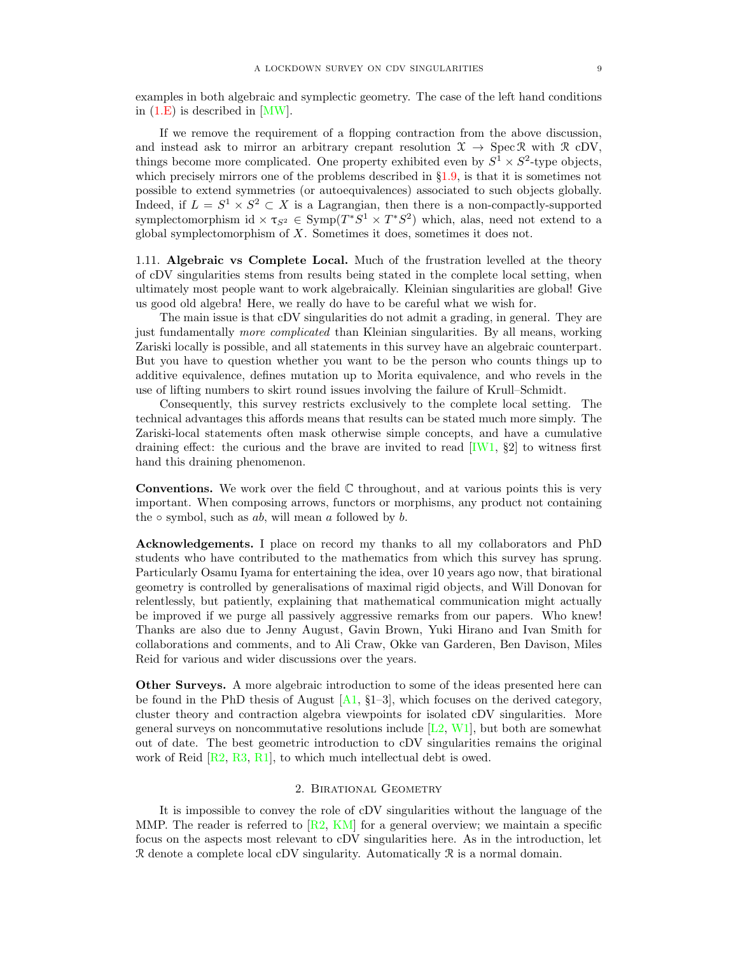examples in both algebraic and symplectic geometry. The case of the left hand conditions in [\(1.E\)](#page-7-1) is described in [\[MW\]](#page-29-7).

If we remove the requirement of a flopping contraction from the above discussion, and instead ask to mirror an arbitrary crepant resolution  $\mathcal{X} \to \text{Spec } \mathcal{R}$  with  $\mathcal{R}$  cDV, things become more complicated. One property exhibited even by  $S^1 \times S^2$ -type objects, which precisely mirrors one of the problems described in §[1.9,](#page-6-0) is that it is sometimes not possible to extend symmetries (or autoequivalences) associated to such objects globally. Indeed, if  $L = S^1 \times S^2 \subset X$  is a Lagrangian, then there is a non-compactly-supported symplectomorphism id  $\times \tau_{S^2} \in \text{Symp}(T^*S^1 \times T^*S^2)$  which, alas, need not extend to a global symplectomorphism of  $X$ . Sometimes it does, sometimes it does not.

1.11. Algebraic vs Complete Local. Much of the frustration levelled at the theory of cDV singularities stems from results being stated in the complete local setting, when ultimately most people want to work algebraically. Kleinian singularities are global! Give us good old algebra! Here, we really do have to be careful what we wish for.

The main issue is that cDV singularities do not admit a grading, in general. They are just fundamentally more complicated than Kleinian singularities. By all means, working Zariski locally is possible, and all statements in this survey have an algebraic counterpart. But you have to question whether you want to be the person who counts things up to additive equivalence, defines mutation up to Morita equivalence, and who revels in the use of lifting numbers to skirt round issues involving the failure of Krull–Schmidt.

Consequently, this survey restricts exclusively to the complete local setting. The technical advantages this affords means that results can be stated much more simply. The Zariski-local statements often mask otherwise simple concepts, and have a cumulative draining effect: the curious and the brave are invited to read  $|I W1, §2|$  to witness first hand this draining phenomenon.

**Conventions.** We work over the field  $\mathbb C$  throughout, and at various points this is very important. When composing arrows, functors or morphisms, any product not containing the  $\circ$  symbol, such as ab, will mean a followed by b.

Acknowledgements. I place on record my thanks to all my collaborators and PhD students who have contributed to the mathematics from which this survey has sprung. Particularly Osamu Iyama for entertaining the idea, over 10 years ago now, that birational geometry is controlled by generalisations of maximal rigid objects, and Will Donovan for relentlessly, but patiently, explaining that mathematical communication might actually be improved if we purge all passively aggressive remarks from our papers. Who knew! Thanks are also due to Jenny August, Gavin Brown, Yuki Hirano and Ivan Smith for collaborations and comments, and to Ali Craw, Okke van Garderen, Ben Davison, Miles Reid for various and wider discussions over the years.

Other Surveys. A more algebraic introduction to some of the ideas presented here can be found in the PhD thesis of August  $[A1, \S1-3]$ , which focuses on the derived category, cluster theory and contraction algebra viewpoints for isolated cDV singularities. More general surveys on noncommutative resolutions include  $[L2, W1]$  $[L2, W1]$ , but both are somewhat out of date. The best geometric introduction to cDV singularities remains the original work of Reid [\[R2,](#page-29-0) [R3,](#page-29-10) [R1\]](#page-29-11), to which much intellectual debt is owed.

## 2. Birational Geometry

<span id="page-8-0"></span>It is impossible to convey the role of cDV singularities without the language of the MMP. The reader is referred to  $\left[\text{R2, KM}\right]$  for a general overview; we maintain a specific focus on the aspects most relevant to cDV singularities here. As in the introduction, let  $\mathcal R$  denote a complete local cDV singularity. Automatically  $\mathcal R$  is a normal domain.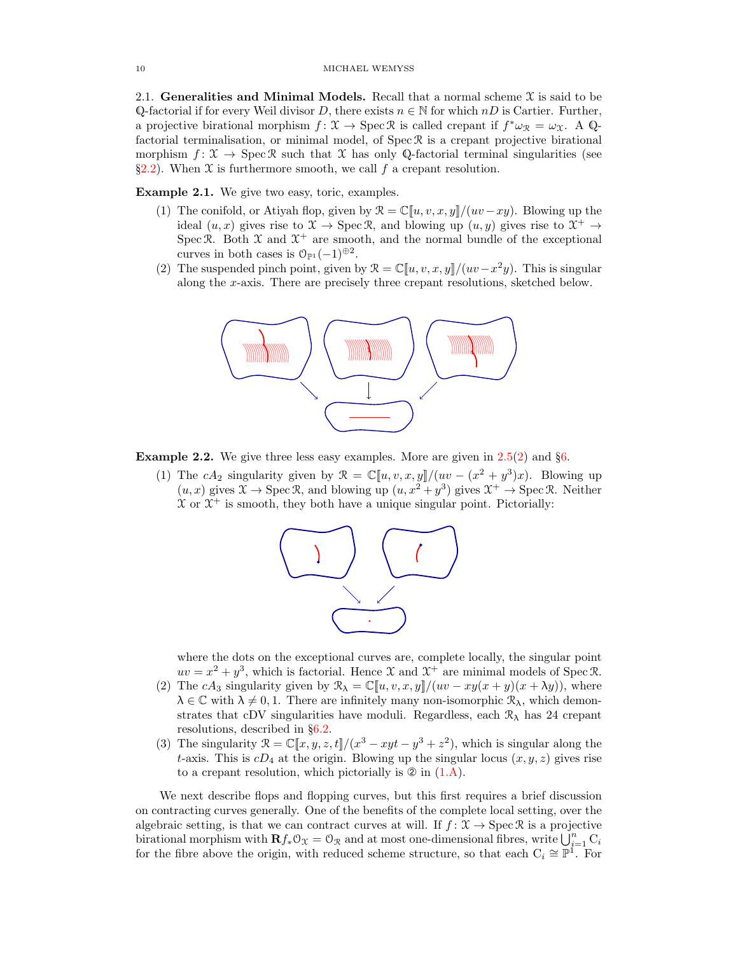<span id="page-9-0"></span>2.1. Generalities and Minimal Models. Recall that a normal scheme  $\mathfrak X$  is said to be Q-factorial if for every Weil divisor D, there exists  $n \in \mathbb{N}$  for which  $nD$  is Cartier. Further, a projective birational morphism  $f: \mathfrak{X} \to \operatorname{Spec} \mathfrak{R}$  is called crepant if  $f^* \omega_{\mathfrak{X}} = \omega_{\mathfrak{X}}$ . A Qfactorial terminalisation, or minimal model, of  $\text{Spec } \mathcal{R}$  is a crepant projective birational morphism  $f: \mathcal{X} \to \operatorname{Spec} \mathcal{R}$  such that X has only Q-factorial terminal singularities (see §[2.2\)](#page-10-0). When  $\mathfrak X$  is furthermore smooth, we call f a crepant resolution.

<span id="page-9-2"></span><span id="page-9-1"></span>Example 2.1. We give two easy, toric, examples.

- (1) The conifold, or Atiyah flop, given by  $\mathcal{R} = \mathbb{C}[u, v, x, y]/(uv xy)$ . Blowing up the ideal  $(u, x)$  gives rise to  $\mathfrak{X} \to \text{Spec } \mathfrak{R}$ , and blowing up  $(u, y)$  gives rise to  $\mathfrak{X}^+ \to$ Spec R. Both  $\mathfrak X$  and  $\mathfrak X^+$  are smooth, and the normal bundle of the exceptional curves in both cases is  $\mathcal{O}_{\mathbb{P}^1}(-1)^{\oplus 2}$ .
- <span id="page-9-6"></span>(2) The suspended pinch point, given by  $\mathcal{R} = \mathbb{C}[u, v, x, y]/(uv - x^2y)$ . This is singular along the x-axis. There are precisely three crepant resolutions, sketched below.



<span id="page-9-4"></span><span id="page-9-3"></span>**Example 2.2.** We give three less easy examples. More are given in  $2.5(2)$  $2.5(2)$  and §[6.](#page-22-0)

(1) The cA<sub>2</sub> singularity given by  $\mathcal{R} = \mathbb{C}[u, v, x, y]/(uv - (x^2 + y^3)x)$ . Blowing up  $(u, x)$  gives  $\mathfrak{X} \to \operatorname{Spec} \mathfrak{R}$ , and blowing up  $(u, x^2 + y^3)$  gives  $\mathfrak{X}^+ \to \operatorname{Spec} \mathfrak{R}$ . Neither  $X$  or  $X^+$  is smooth, they both have a unique singular point. Pictorially:



where the dots on the exceptional curves are, complete locally, the singular point  $uv = x^2 + y^3$ , which is factorial. Hence X and  $\mathcal{X}^+$  are minimal models of Spec R.

- (2) The cA<sub>3</sub> singularity given by  $\mathcal{R}_{\lambda} = \mathbb{C}[u, v, x, y]/(uv xy(x + y)(x + \lambda y))$ , where  $\lambda \in \mathbb{C}$  with  $\lambda \neq 0, 1$ . There are infinitely many non-isomorphic  $\mathcal{R}_{\lambda}$ , which demonstrates that cDV singularities have moduli. Regardless, each  $\mathcal{R}_{\lambda}$  has 24 crepant resolutions, described in §[6.2.](#page-23-0)
- <span id="page-9-5"></span>(3) The singularity  $\mathcal{R} = \mathbb{C}[[x, y, z, t]]/(x^3 - xyt - y^3 + z^2)$ , which is singular along the t-axis. This is  $cD_4$  at the origin. Blowing up the singular locus  $(x, y, z)$  gives rise to a crepant resolution, which pictorially is  $\mathcal{D}$  in  $(1.A)$ .

We next describe flops and flopping curves, but this first requires a brief discussion on contracting curves generally. One of the benefits of the complete local setting, over the algebraic setting, is that we can contract curves at will. If  $f: \mathcal{X} \to \text{Spec } \mathcal{R}$  is a projective birational morphism with  $\mathbf{R}f_*\mathcal{O}_\mathfrak{X}=\mathcal{O}_\mathfrak{X}$  and at most one-dimensional fibres, write  $\bigcup_{i=1}^n C_i$ for the fibre above the origin, with reduced scheme structure, so that each  $C_i \cong \mathbb{P}^1$ . For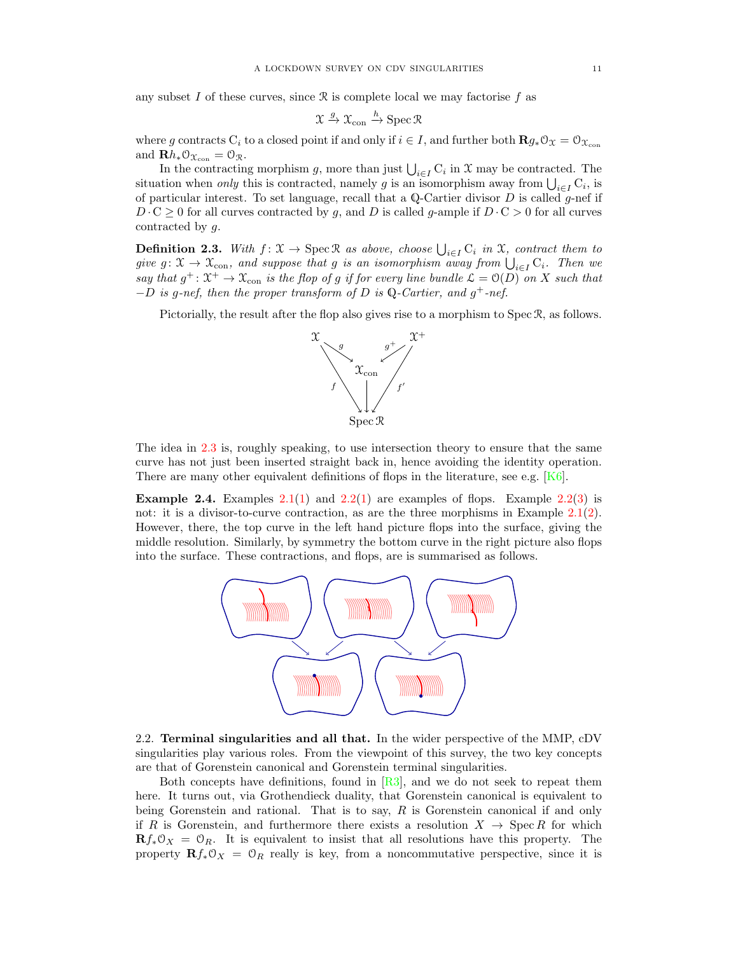any subset I of these curves, since  $\Re$  is complete local we may factorise f as

$$
\mathfrak{X} \xrightarrow{g} \mathfrak{X}_{\mathrm{con}} \xrightarrow{h} \mathrm{Spec} \, \mathfrak{R}
$$

where g contracts C<sub>i</sub> to a closed point if and only if  $i \in I$ , and further both  $\mathbf{R}g_*\mathcal{O}_X = \mathcal{O}_{X_{\text{con}}}$ and  $\mathbf{R}h_*\mathcal{O}_{\mathfrak{X}_{con}}=\mathcal{O}_{\mathfrak{X}}.$ 

In the contracting morphism g, more than just  $\bigcup_{i\in I} C_i$  in X may be contracted. The situation when *only* this is contracted, namely g is an isomorphism away from  $\bigcup_{i \in I} C_i$ , is of particular interest. To set language, recall that a Q-Cartier divisor  $D$  is called g-nef if  $D \cdot C \ge 0$  for all curves contracted by g, and D is called g-ample if  $D \cdot C > 0$  for all curves contracted by g.

<span id="page-10-1"></span>**Definition 2.3.** With  $f: \mathfrak{X} \to \text{Spec } \mathfrak{R}$  as above, choose  $\bigcup_{i \in I} C_i$  in  $\mathfrak{X}$ , contract them to give  $g: \mathfrak{X} \to \mathfrak{X}_{\text{con}}$ , and suppose that g is an isomorphism away from  $\bigcup_{i \in I} C_i$ . Then we say that  $g^+$ :  $\mathfrak{X}^+$   $\rightarrow$   $\mathfrak{X}_{\text{con}}$  is the flop of g if for every line bundle  $\mathcal{L} = \mathfrak{O}(D)$  on X such that  $-D$  is g-nef, then the proper transform of D is Q-Cartier, and g<sup>+</sup>-nef.

Pictorially, the result after the flop also gives rise to a morphism to Spec R, as follows.



The idea in [2.3](#page-10-1) is, roughly speaking, to use intersection theory to ensure that the same curve has not just been inserted straight back in, hence avoiding the identity operation. There are many other equivalent definitions of flops in the literature, see e.g. [\[K6\]](#page-28-5).

**Example 2.4.** Examples [2.1\(](#page-9-1)[1\)](#page-9-4) and [2.2\(](#page-9-3)1) are examples of flops. Example [2.2](#page-9-3)[\(3\)](#page-9-5) is not: it is a divisor-to-curve contraction, as are the three morphisms in Example [2.1\(](#page-9-1)[2\)](#page-9-6). However, there, the top curve in the left hand picture flops into the surface, giving the middle resolution. Similarly, by symmetry the bottom curve in the right picture also flops into the surface. These contractions, and flops, are is summarised as follows.



<span id="page-10-0"></span>2.2. Terminal singularities and all that. In the wider perspective of the MMP, cDV singularities play various roles. From the viewpoint of this survey, the two key concepts are that of Gorenstein canonical and Gorenstein terminal singularities.

Both concepts have definitions, found in  $[R3]$ , and we do not seek to repeat them here. It turns out, via Grothendieck duality, that Gorenstein canonical is equivalent to being Gorenstein and rational. That is to say,  $R$  is Gorenstein canonical if and only if R is Gorenstein, and furthermore there exists a resolution  $X \to \text{Spec } R$  for which  $\mathbf{R}f_*\mathcal{O}_X = \mathcal{O}_R$ . It is equivalent to insist that all resolutions have this property. The property  $\mathbf{R}f_*\mathbf{0}_X = \mathbf{0}_R$  really is key, from a noncommutative perspective, since it is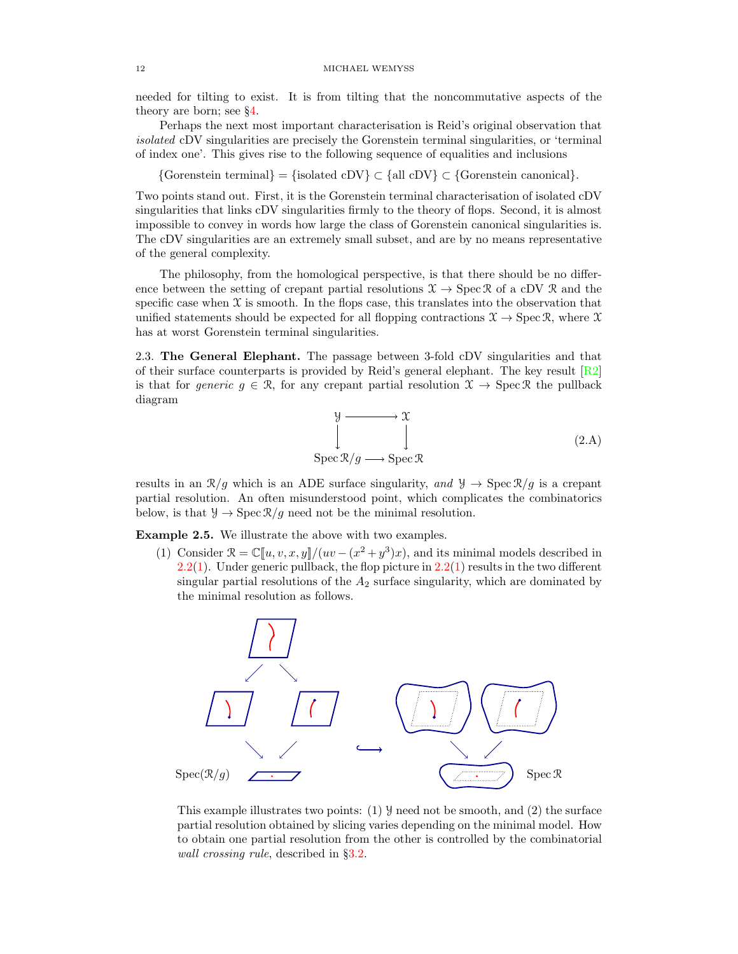needed for tilting to exist. It is from tilting that the noncommutative aspects of the theory are born; see §[4.](#page-15-0)

Perhaps the next most important characterisation is Reid's original observation that isolated cDV singularities are precisely the Gorenstein terminal singularities, or 'terminal of index one'. This gives rise to the following sequence of equalities and inclusions

 ${\text{Gorenstein terminal}} = {\text{isolated cDV}} \subset {\text{all cDV}} \subset {\text{Gorenstein canonical}}.$ 

Two points stand out. First, it is the Gorenstein terminal characterisation of isolated cDV singularities that links cDV singularities firmly to the theory of flops. Second, it is almost impossible to convey in words how large the class of Gorenstein canonical singularities is. The cDV singularities are an extremely small subset, and are by no means representative of the general complexity.

The philosophy, from the homological perspective, is that there should be no difference between the setting of crepant partial resolutions  $\mathfrak{X} \to \text{Spec } \mathfrak{R}$  of a cDV  $\mathfrak{R}$  and the specific case when  $\mathfrak X$  is smooth. In the flops case, this translates into the observation that unified statements should be expected for all flopping contractions  $\mathfrak{X} \to \text{Spec } \mathfrak{R}$ , where X has at worst Gorenstein terminal singularities.

2.3. The General Elephant. The passage between 3-fold cDV singularities and that of their surface counterparts is provided by Reid's general elephant. The key result  $\lfloor R2 \rfloor$ is that for generic  $g \in \mathcal{R}$ , for any crepant partial resolution  $\mathcal{X} \to \text{Spec } \mathcal{R}$  the pullback diagram

<span id="page-11-1"></span>
$$
\begin{array}{ccc}\n\downarrow & \to & \mathfrak{X} \\
\downarrow & & \downarrow \\
\operatorname{Spec} \mathcal{R}/g \longrightarrow \operatorname{Spec} \mathcal{R}\n\end{array} \tag{2.A}
$$

results in an  $\mathcal{R}/g$  which is an ADE surface singularity, and  $\mathcal{Y} \to \text{Spec } \mathcal{R}/g$  is a crepant partial resolution. An often misunderstood point, which complicates the combinatorics below, is that  $\mathcal{Y} \to \text{Spec } \mathcal{R}/g$  need not be the minimal resolution.

<span id="page-11-0"></span>Example 2.5. We illustrate the above with two examples.

(1) Consider  $\mathcal{R} = \mathbb{C}[u, v, x, y]/(uv - (x^2 + y^3)x)$ , and its minimal models described in [2.2\(](#page-9-3)[1\)](#page-9-4). Under generic pullback, the flop picture in  $2.2(1)$  $2.2(1)$  results in the two different singular partial resolutions of the  $A_2$  surface singularity, which are dominated by the minimal resolution as follows.



This example illustrates two points: (1)  $\mathcal{Y}$  need not be smooth, and (2) the surface partial resolution obtained by slicing varies depending on the minimal model. How to obtain one partial resolution from the other is controlled by the combinatorial wall crossing rule, described in §[3.2.](#page-14-0)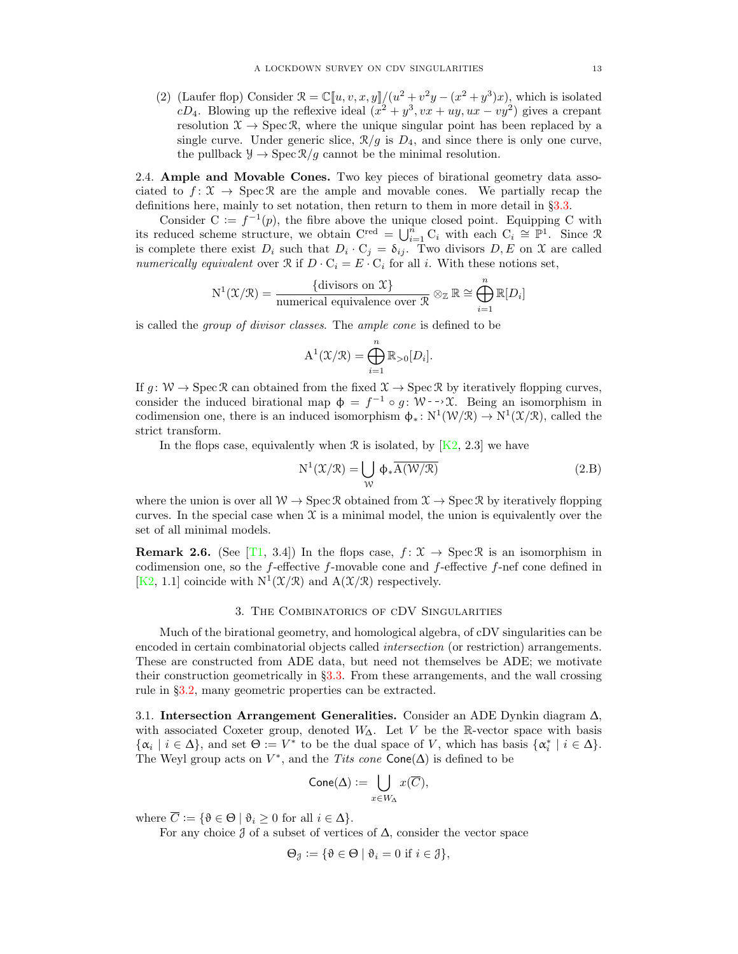<span id="page-12-1"></span>(2) (Laufer flop) Consider  $\mathcal{R} = \mathbb{C}[u, v, x, y]/(u^2 + v^2y - (x^2 + y^3)x)$ , which is isolated cD<sub>4</sub>. Blowing up the reflexive ideal  $(x^2 + y^3, vx + uy, ux - vy^2)$  gives a crepant resolution  $\mathfrak{X} \to \operatorname{Spec} \mathfrak{R}$ , where the unique singular point has been replaced by a single curve. Under generic slice,  $\mathcal{R}/g$  is  $D_4$ , and since there is only one curve, the pullback  $\mathcal{Y} \to \text{Spec } \mathcal{R}/g$  cannot be the minimal resolution.

2.4. Ample and Movable Cones. Two key pieces of birational geometry data associated to  $f: \mathcal{X} \to \text{Spec } \mathcal{R}$  are the ample and movable cones. We partially recap the definitions here, mainly to set notation, then return to them in more detail in §[3.3.](#page-14-1)

Consider  $C := f^{-1}(p)$ , the fibre above the unique closed point. Equipping C with its reduced scheme structure, we obtain  $C^{\text{red}} = \bigcup_{i=1}^{n} C_i$  with each  $C_i \cong \mathbb{P}^1$ . Since R is complete there exist  $D_i$  such that  $D_i \cdot C_j = \delta_{ij}$ . Two divisors  $D, E$  on X are called numerically equivalent over  $\Re$  if  $D \cdot C_i = E \cdot C_i$  for all i. With these notions set,

$$
N^1(\mathfrak{X}/\mathfrak{X}) = \frac{\{\text{divisors on } \mathfrak{X}\}}{\text{numerical equivalence over } \mathfrak{X}} \otimes_{\mathbb{Z}} \mathbb{R} \cong \bigoplus_{i=1}^n \mathbb{R}[D_i]
$$

is called the group of divisor classes. The ample cone is defined to be

$$
\mathbf{A}^{1}(\mathcal{X}/\mathcal{R}) = \bigoplus_{i=1}^{n} \mathbb{R}_{>0}[D_{i}].
$$

If  $q: W \to \text{Spec } \mathcal{R}$  can obtained from the fixed  $\mathcal{X} \to \text{Spec } \mathcal{R}$  by iteratively flopping curves, consider the induced birational map  $\phi = f^{-1} \circ g : \mathcal{W} \rightarrow \mathcal{X}$ . Being an isomorphism in codimension one, there is an induced isomorphism  $\phi_*: N^1(\mathcal{W}/\mathcal{R}) \to N^1(\mathcal{X}/\mathcal{R})$ , called the strict transform.

In the flops case, equivalently when  $\mathcal R$  is isolated, by [\[K2,](#page-28-6) 2.3] we have

<span id="page-12-2"></span>
$$
N^{1}(\mathcal{X}/\mathcal{R}) = \bigcup_{\mathcal{W}} \Phi_{*} \overline{A(\mathcal{W}/\mathcal{R})}
$$
(2.B)

where the union is over all  $W \to \text{Spec } \mathcal{R}$  obtained from  $\mathcal{X} \to \text{Spec } \mathcal{R}$  by iteratively flopping curves. In the special case when  $\mathfrak X$  is a minimal model, the union is equivalently over the set of all minimal models.

**Remark 2.6.** (See [\[T1,](#page-29-12) 3.4]) In the flops case,  $f: \mathcal{X} \to \text{Spec } \mathcal{R}$  is an isomorphism in codimension one, so the  $f$ -effective  $f$ -movable cone and  $f$ -effective  $f$ -nef cone defined in [\[K2,](#page-28-6) 1.1] coincide with  $N^1(\mathcal{X}/\mathcal{R})$  and  $A(\mathcal{X}/\mathcal{R})$  respectively.

### 3. The Combinatorics of cDV Singularities

<span id="page-12-0"></span>Much of the birational geometry, and homological algebra, of cDV singularities can be encoded in certain combinatorial objects called intersection (or restriction) arrangements. These are constructed from ADE data, but need not themselves be ADE; we motivate their construction geometrically in §[3.3.](#page-14-1) From these arrangements, and the wall crossing rule in §[3.2,](#page-14-0) many geometric properties can be extracted.

<span id="page-12-3"></span>3.1. Intersection Arrangement Generalities. Consider an ADE Dynkin diagram  $\Delta$ , with associated Coxeter group, denoted  $W_{\Lambda}$ . Let V be the R-vector space with basis  $\{\alpha_i \mid i \in \Delta\}$ , and set  $\Theta := V^*$  to be the dual space of V, which has basis  $\{\alpha_i^* \mid i \in \Delta\}$ . The Weyl group acts on  $V^*$ , and the Tits cone Cone( $\Delta$ ) is defined to be

$$
\mathsf{Cone}(\Delta) := \bigcup_{x \in W_{\Delta}} x(\overline{C}),
$$

where  $\overline{C} := \{ \vartheta \in \Theta \mid \vartheta_i \geq 0 \text{ for all } i \in \Delta \}.$ 

For any choice  $\delta$  of a subset of vertices of  $\Delta$ , consider the vector space

$$
\Theta_{\mathcal{J}} := \{ \vartheta \in \Theta \mid \vartheta_i = 0 \text{ if } i \in \mathcal{J} \},
$$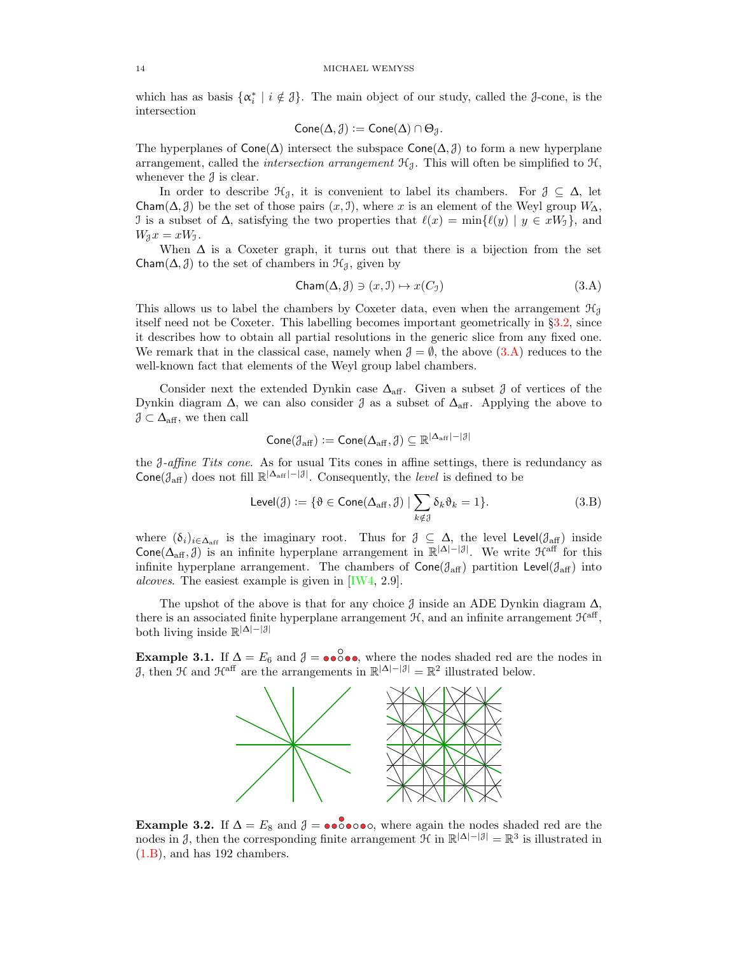which has as basis  $\{\alpha_i^* \mid i \notin \mathcal{J}\}\$ . The main object of our study, called the  $\mathcal{J}\text{-cone}$ , is the intersection

$$
\mathsf{Cone}(\Delta,\mathcal{J}):=\mathsf{Cone}(\Delta)\cap\Theta_{\mathcal{J}}.
$$

The hyperplanes of  $Cone(\Delta)$  intersect the subspace  $Cone(\Delta, \mathcal{J})$  to form a new hyperplane arrangement, called the *intersection arrangement*  $\mathcal{H}_{\mathcal{J}}$ . This will often be simplified to  $\mathcal{H}$ , whenever the  $\delta$  is clear.

In order to describe  $\mathcal{H}_{\beta}$ , it is convenient to label its chambers. For  $\beta \subseteq \Delta$ , let Cham( $\Delta$ , J) be the set of those pairs  $(x, 1)$ , where x is an element of the Weyl group  $W_{\Delta}$ , J is a subset of  $\Delta$ , satisfying the two properties that  $\ell(x) = \min{\{\ell(y) | y \in xW_j\}}$ , and  $W_3x=xW_1$ .

When  $\Delta$  is a Coxeter graph, it turns out that there is a bijection from the set Cham $(\Delta, \mathcal{J})$  to the set of chambers in  $\mathcal{H}_{\mathcal{J}}$ , given by

<span id="page-13-0"></span>
$$
Cham(\Delta, \mathcal{J}) \ni (x, \mathcal{I}) \mapsto x(C_{\mathcal{I}}) \tag{3.A}
$$

This allows us to label the chambers by Coxeter data, even when the arrangement  $\mathcal{H}_{\mathcal{J}}$ itself need not be Coxeter. This labelling becomes important geometrically in §[3.2,](#page-14-0) since it describes how to obtain all partial resolutions in the generic slice from any fixed one. We remark that in the classical case, namely when  $\mathcal{J} = \emptyset$ , the above  $(3.A)$  reduces to the well-known fact that elements of the Weyl group label chambers.

Consider next the extended Dynkin case  $\Delta_{\text{aff}}$ . Given a subset  $\beta$  of vertices of the Dynkin diagram  $\Delta$ , we can also consider  $\delta$  as a subset of  $\Delta_{\text{aff}}$ . Applying the above to  $\mathcal{J} \subset \Delta_{\text{aff}}$ , we then call

$$
\mathsf{Cone}(\mathcal{J}_{\mathrm{aff}}):=\mathsf{Cone}(\Delta_{\mathrm{aff}},\mathcal{J})\subseteq\mathbb{R}^{|\Delta_{\mathrm{aff}}|-|\mathcal{J}|}
$$

the J-affine Tits cone. As for usual Tits cones in affine settings, there is redundancy as  $\text{Cone}(\mathcal{J}_{\text{aff}})$  does not fill  $\mathbb{R}^{|\Delta_{\text{aff}}|-|\mathcal{J}|}$ . Consequently, the *level* is defined to be

<span id="page-13-1"></span>
$$
\mathsf{Level}(\mathcal{J}) := \{ \vartheta \in \mathsf{Cone}(\Delta_{\text{aff}}, \mathcal{J}) \mid \sum_{k \notin \mathcal{J}} \delta_k \vartheta_k = 1 \}. \tag{3.B}
$$

where  $(\delta_i)_{i\in\Delta_{\text{aff}}}$  is the imaginary root. Thus for  $\mathcal{J} \subseteq \Delta$ , the level Level( $\mathcal{J}_{\text{aff}}$ ) inside Cone( $\Delta_{\text{aff}}$ ,  $\beta$ ) is an infinite hyperplane arrangement in  $\mathbb{R}^{|\Delta|-|\beta|}$ . We write  $\mathcal{H}^{\text{aff}}$  for this infinite hyperplane arrangement. The chambers of  $Cone(\mathcal{J}_{\text{aff}})$  partition Level $(\mathcal{J}_{\text{aff}})$  into alcoves. The easiest example is given in [\[IW4,](#page-28-7) 2.9].

The upshot of the above is that for any choice  $\beta$  inside an ADE Dynkin diagram  $\Delta$ , there is an associated finite hyperplane arrangement  $H$ , and an infinite arrangement  $\mathcal{H}^{\text{aff}}$ , both living inside  $\mathbb{R}^{|\Delta|-|\mathcal{J}|}$ 

**Example 3.1.** If  $\Delta = E_6$  and  $\beta = \bullet \bullet \bullet \bullet \bullet$ , where the nodes shaded red are the nodes in  $\beta$ , then H and H<sup>aff</sup> are the arrangements in  $\mathbb{R}^{|\Delta|-|\beta|} = \mathbb{R}^2$  illustrated below.



Example 3.2. If  $\Delta = E_8$  and  $\delta = \bullet \bullet \bullet \bullet \bullet \bullet \bullet \bullet \bullet \bullet \bullet$ , where again the nodes shaded red are the nodes in  $\mathcal{J}$ , then the corresponding finite arrangement  $\mathcal{H}$  in  $\mathbb{R}^{|\Delta|-|\mathcal{J}|} = \mathbb{R}^3$  is illustrated in [\(1.B\)](#page-1-2), and has 192 chambers.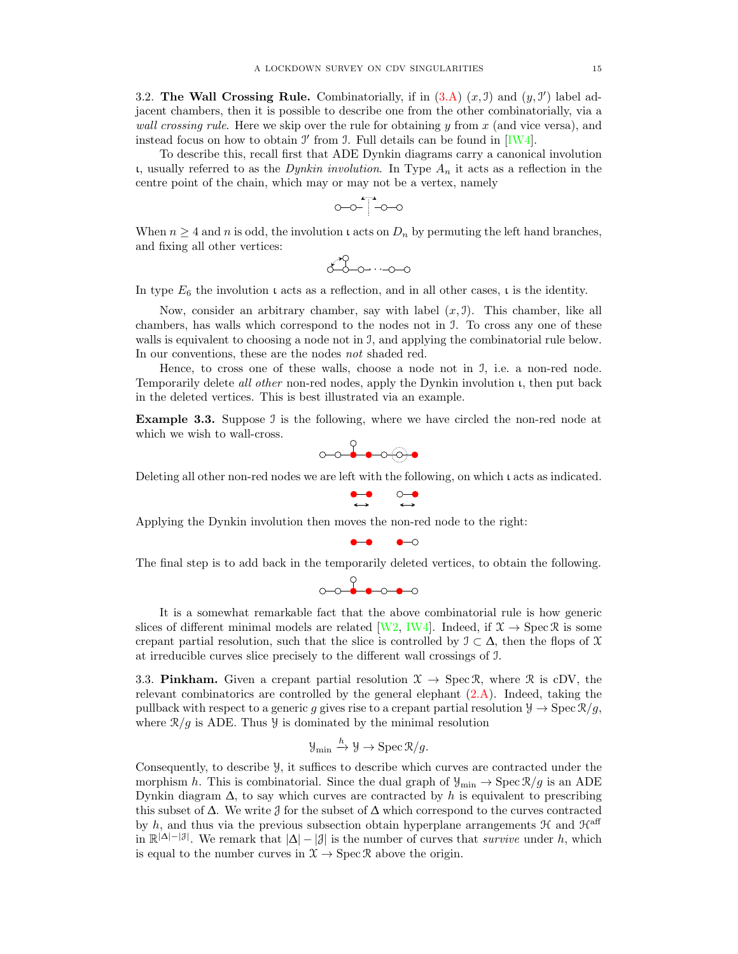<span id="page-14-0"></span>3.2. The Wall Crossing Rule. Combinatorially, if in  $(3.A)$   $(x, 1)$  and  $(y, 1')$  label adjacent chambers, then it is possible to describe one from the other combinatorially, via a *wall crossing rule.* Here we skip over the rule for obtaining  $y$  from  $x$  (and vice versa), and instead focus on how to obtain  $\mathcal I'$  from  $\mathcal I$ . Full details can be found in [\[IW4\]](#page-28-7).

To describe this, recall first that ADE Dynkin diagrams carry a canonical involution ι, usually referred to as the Dynkin involution. In Type  $A_n$  it acts as a reflection in the centre point of the chain, which may or may not be a vertex, namely

$$
\circ \hspace{-0.5mm} \circ \hspace{-0.5mm} \circ \hspace{-0.5mm} \bullet \hspace{-0.5mm} \circ \hspace{-0.5mm} \circ
$$

When  $n \geq 4$  and n is odd, the involution  $\iota$  acts on  $D_n$  by permuting the left hand branches, and fixing all other vertices:

$$
\begin{array}{c}\n\circ \\
\circ \\
\circ \\
\circ \\
\circ \\
\circ\n\end{array}
$$

In type  $E_6$  the involution  $\iota$  acts as a reflection, and in all other cases,  $\iota$  is the identity.

Now, consider an arbitrary chamber, say with label  $(x, 1)$ . This chamber, like all chambers, has walls which correspond to the nodes not in I. To cross any one of these walls is equivalent to choosing a node not in J, and applying the combinatorial rule below. In our conventions, these are the nodes not shaded red.

Hence, to cross one of these walls, choose a node not in I, i.e. a non-red node. Temporarily delete all other non-red nodes, apply the Dynkin involution ι, then put back in the deleted vertices. This is best illustrated via an example.

Example 3.3. Suppose J is the following, where we have circled the non-red node at which we wish to wall-cross.

$$
\circ\hspace{-0.7mm}\circ\hspace{-0.7mm}\bullet\hspace{-0.7mm}\bullet\hspace{-0.7mm}\circ\hspace{-0.7mm}\circ\hspace{-0.7mm}\bullet
$$

Deleting all other non-red nodes we are left with the following, on which ι acts as indicated.

$$
\begin{array}{cc} \bullet\hspace{-0.2cm}-\hspace{-0.2cm}0 & \circledcirc\hspace{-0.2cm}-\hspace{-0.2cm}\\\leftrightarrow & \leftrightarrow \end{array}
$$

Applying the Dynkin involution then moves the non-red node to the right:

$$
\bullet\hspace{-4pt}-\hspace{-4pt}-\hspace{-4pt}-\hspace{-4pt}-\hspace{-4pt}-\hspace{-4pt}-\hspace{-4pt}-\hspace{-4pt}-\hspace{-4pt}-\hspace{-4pt}-\hspace{-4pt}-\hspace{-4pt}-\hspace{-4pt}-\hspace{-4pt}-\hspace{-4pt}-\hspace{-4pt}-\hspace{-4pt}-\hspace{-4pt}-\hspace{-4pt}-\hspace{-4pt}-\hspace{-4pt}-\hspace{-4pt}-\hspace{-4pt}-\hspace{-4pt}-\hspace{-4pt}-\hspace{-4pt}-\hspace{-4pt}-\hspace{-4pt}-\hspace{-4pt}-\hspace{-4pt}-\hspace{-4pt}-\hspace{-4pt}-\hspace{-4pt}-\hspace{-4pt}-\hspace{-4pt}-\hspace{-4pt}-\hspace{-4pt}-\hspace{-4pt}-\hspace{-4pt}-\hspace{-4pt}-\hspace{-4pt}-\hspace{-4pt}-\hspace{-4pt}-\hspace{-4pt}-\hspace{-4pt}-\hspace{-4pt}-\hspace{-4pt}-\hspace{-4pt}-\hspace{-4pt}-\hspace{-4pt}-\hspace{-4pt}-\hspace{-4pt}-\hspace{-4pt}-\hspace{-4pt}-\hspace{-4pt}-\hspace{-4pt}-\hspace{-4pt}-\hspace{-4pt}-\hspace{-4pt}-\hspace{-4pt}-\hspace{-4pt}-\hspace{-4pt}-\hspace{-4pt}-\hspace{-4pt}-\hspace{-4pt}-\hspace{-4pt}-\hspace{-4pt}-\hspace{-4pt}-\hspace{-4pt}-\hspace{-4pt}-\hspace{-4pt}-\hspace{-4pt}-\hspace{-4pt}-\hspace{-4pt}-\hspace{-4pt}-\hspace{-4pt}-\hspace{-4pt}-\hspace{-4pt}-\hspace{-4pt}-\hspace{-4pt}-\hspace{-4pt}-\hspace{-4pt}-\hspace{-4pt}-\hspace{-4pt}-\hspace{-4pt}-\hspace{-4pt}-\hspace{-4pt}-\hspace{-4pt}-\hspace{-4pt}-\hspace{-4pt}-\hspace{-4pt}-\hspace{-4pt}-\hspace{-4pt}-\hspace{-4pt}-\hspace{-4pt}-\hspace{-4pt}-\hspace{-4pt}-\hspace{-4pt}-\hspace{-4pt}-\hspace{-2pt}-\hspace{-2pt}-\hspace{-2pt}-\hspace{-2pt}-\hspace{-2pt}-\hspace{-2pt}-\hspace{-2pt}-\hspace{-2pt}-\hspace{-2pt}-\hs
$$

The final step is to add back in the temporarily deleted vertices, to obtain the following.

$$
\circ \circ \bullet \bullet \circ \bullet \circ
$$

It is a somewhat remarkable fact that the above combinatorial rule is how generic slices of different minimal models are related [\[W2,](#page-29-4) [IW4\]](#page-28-7). Indeed, if  $\mathcal{X} \to \text{Spec } \mathcal{R}$  is some crepant partial resolution, such that the slice is controlled by  $\mathcal{I} \subset \Delta$ , then the flops of X at irreducible curves slice precisely to the different wall crossings of I.

<span id="page-14-1"></span>3.3. Pinkham. Given a crepant partial resolution  $\mathcal{X} \to \text{Spec } \mathcal{R}$ , where  $\mathcal{R}$  is cDV, the relevant combinatorics are controlled by the general elephant  $(2.A)$ . Indeed, taking the pullback with respect to a generic g gives rise to a crepant partial resolution  $\mathcal{Y} \to \text{Spec } \mathcal{R}/g$ , where  $\mathcal{R}/g$  is ADE. Thus  $\mathcal{Y}$  is dominated by the minimal resolution

$$
\mathcal{Y}_{\min} \xrightarrow{h} \mathcal{Y} \to \operatorname{Spec} \mathcal{R}/g.
$$

Consequently, to describe Y, it suffices to describe which curves are contracted under the morphism h. This is combinatorial. Since the dual graph of  $\mathcal{Y}_{\min} \to \text{Spec } \mathcal{R}/g$  is an ADE Dynkin diagram  $\Delta$ , to say which curves are contracted by h is equivalent to prescribing this subset of  $\Delta$ . We write  $\beta$  for the subset of  $\Delta$  which correspond to the curves contracted by h, and thus via the previous subsection obtain hyperplane arrangements  $\mathcal{H}$  and  $\mathcal{H}^{\text{aff}}$ in  $\mathbb{R}^{|\Delta|-|\mathcal{J}|}$ . We remark that  $|\Delta|-|\mathcal{J}|$  is the number of curves that *survive* under h, which is equal to the number curves in  $\mathfrak{X} \to \operatorname{Spec} \mathfrak{R}$  above the origin.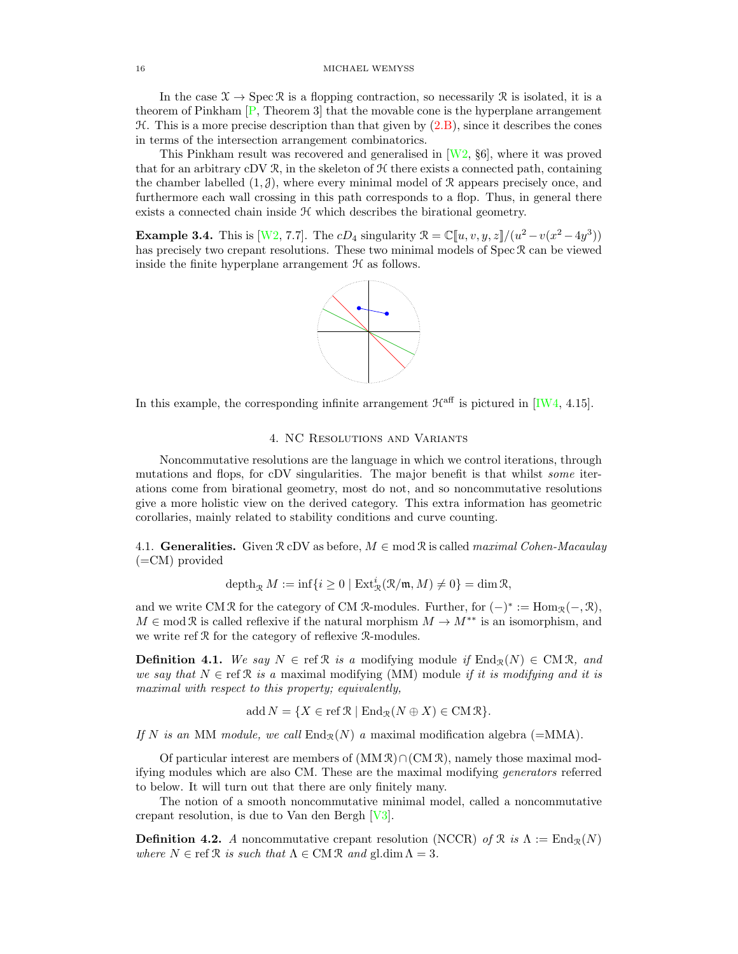In the case  $\mathcal{X} \to \text{Spec } \mathcal{R}$  is a flopping contraction, so necessarily  $\mathcal{R}$  is isolated, it is a theorem of Pinkham [\[P,](#page-29-2) Theorem 3] that the movable cone is the hyperplane arrangement  $H$ . This is a more precise description than that given by  $(2.B)$ , since it describes the cones in terms of the intersection arrangement combinatorics.

This Pinkham result was recovered and generalised in [\[W2,](#page-29-4) §6], where it was proved that for an arbitrary cDV  $\mathcal{R}$ , in the skeleton of  $\mathcal{H}$  there exists a connected path, containing the chamber labelled  $(1, \mathcal{J})$ , where every minimal model of R appears precisely once, and furthermore each wall crossing in this path corresponds to a flop. Thus, in general there exists a connected chain inside  $H$  which describes the birational geometry.

<span id="page-15-1"></span>**Example 3.4.** This is [\[W2,](#page-29-4) 7.7]. The  $cD_4$  singularity  $\mathcal{R} = \mathbb{C}[u, v, y, z]/(u^2 - v(x^2 - 4y^3))$ has precisely two crepant resolutions. These two minimal models of Spec R can be viewed inside the finite hyperplane arrangement  $H$  as follows.



In this example, the corresponding infinite arrangement  $\mathcal{H}^{\text{aff}}$  is pictured in [\[IW4,](#page-28-7) 4.15].

### 4. NC Resolutions and Variants

<span id="page-15-0"></span>Noncommutative resolutions are the language in which we control iterations, through mutations and flops, for cDV singularities. The major benefit is that whilst some iterations come from birational geometry, most do not, and so noncommutative resolutions give a more holistic view on the derived category. This extra information has geometric corollaries, mainly related to stability conditions and curve counting.

4.1. Generalities. Given  $\mathcal{R}$  cDV as before,  $M \in \text{mod } \mathcal{R}$  is called maximal Cohen-Macaulay (=CM) provided

$$
\operatorname{depth}_{\mathcal{R}} M \mathrel{\mathop:}= \inf \{i \geq 0 \mid \operatorname{Ext}^{i}_{\mathcal{R}}(\mathcal{R}/\mathfrak{m},M) \neq 0\} = \dim \mathcal{R},
$$

and we write CM R for the category of CM R-modules. Further, for  $(-)^* := \text{Hom}_{\mathcal{R}}(-, \mathcal{R}),$  $M \in \text{mod } \mathfrak{R}$  is called reflexive if the natural morphism  $M \to M^{**}$  is an isomorphism, and we write ref R for the category of reflexive R-modules.

**Definition 4.1.** We say  $N \in \text{ref } \mathcal{R}$  is a modifying module if  $\text{End}_{\mathcal{R}}(N) \in \text{CM } \mathcal{R}$ , and we say that  $N \in \text{ref } \mathcal{R}$  is a maximal modifying (MM) module if it is modifying and it is maximal with respect to this property; equivalently,

$$
add N = \{ X \in \text{ref } \mathcal{R} \mid \text{End}_{\mathcal{R}}(N \oplus X) \in \text{CM } \mathcal{R} \}.
$$

If N is an MM module, we call  $\text{End}_{\mathcal{R}}(N)$  a maximal modification algebra (=MMA).

Of particular interest are members of  $(MM \mathcal{R}) \cap (CM \mathcal{R})$ , namely those maximal modifying modules which are also CM. These are the maximal modifying generators referred to below. It will turn out that there are only finitely many.

The notion of a smooth noncommutative minimal model, called a noncommutative crepant resolution, is due to Van den Bergh [\[V3\]](#page-29-13).

**Definition 4.2.** A noncommutative crepant resolution (NCCR) of  $\mathcal{R}$  is  $\Lambda := \text{End}_{\mathcal{R}}(N)$ where  $N \in \text{ref } \mathcal{R}$  is such that  $\Lambda \in \text{CM } \mathcal{R}$  and  $\text{gl.dim } \Lambda = 3$ .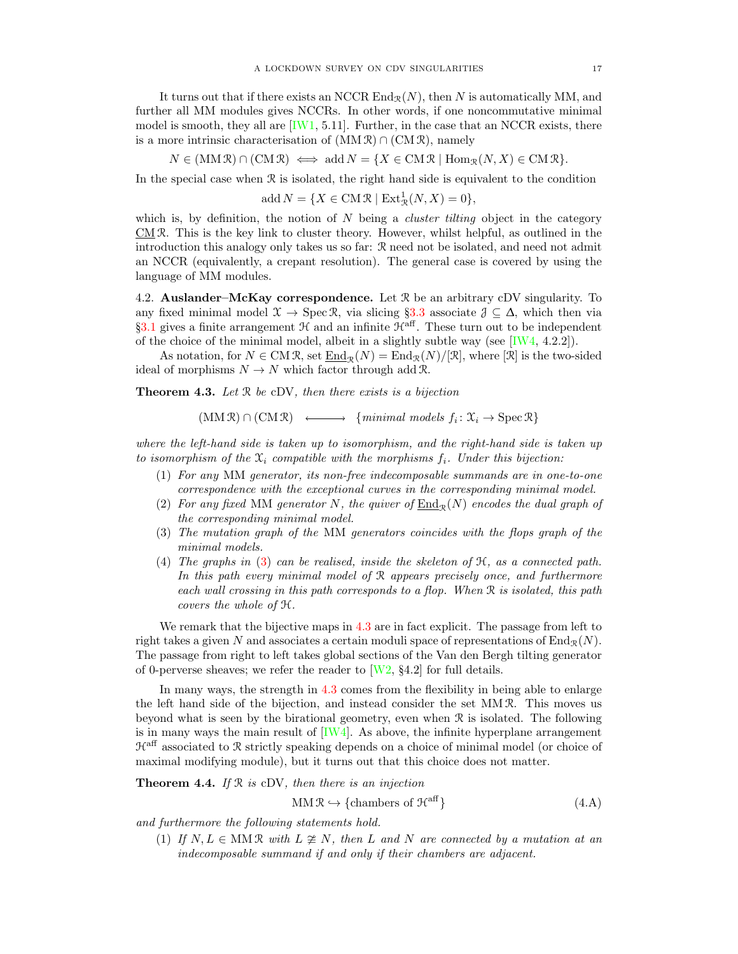It turns out that if there exists an NCCR  $\text{End}_{\mathcal{R}}(N)$ , then N is automatically MM, and further all MM modules gives NCCRs. In other words, if one noncommutative minimal model is smooth, they all are  $[IW1, 5.11]$ . Further, in the case that an NCCR exists, there is a more intrinsic characterisation of  $(MM \mathcal{R}) \cap (CM \mathcal{R})$ , namely

$$
N \in (MM\mathcal{R}) \cap (CM\mathcal{R}) \iff \text{add } N = \{X \in CM\mathcal{R} \mid \text{Hom}_{\mathcal{R}}(N, X) \in CM\mathcal{R}\}.
$$

In the special case when  $R$  is isolated, the right hand side is equivalent to the condition

add  $N = \{X \in \text{CM } \mathcal{R} \mid \text{Ext}^1_{\mathcal{R}}(N, X) = 0\},\$ 

which is, by definition, the notion of  $N$  being a *cluster tilting* object in the category CM R. This is the key link to cluster theory. However, whilst helpful, as outlined in the introduction this analogy only takes us so far: R need not be isolated, and need not admit an NCCR (equivalently, a crepant resolution). The general case is covered by using the language of MM modules.

<span id="page-16-4"></span>4.2. **Auslander–McKay correspondence.** Let  $\mathcal{R}$  be an arbitrary cDV singularity. To any fixed minimal model  $\mathcal{X} \to \text{Spec } \mathcal{R}$ , via slicing §[3.3](#page-14-1) associate  $\mathcal{J} \subseteq \Delta$ , which then via §[3.1](#page-12-3) gives a finite arrangement  $\mathcal{H}$  and an infinite  $\mathcal{H}^{\text{aff}}$ . These turn out to be independent of the choice of the minimal model, albeit in a slightly subtle way (see  $[IW4, 4.2.2]$ ).

As notation, for  $N \in \text{CM } \mathcal{R}$ , set  $\text{End}_{\mathcal{R}}(N) = \text{End}_{\mathcal{R}}(N)/|\mathcal{R}|$ , where  $|\mathcal{R}|$  is the two-sided ideal of morphisms  $N \to N$  which factor through add R.

<span id="page-16-1"></span>**Theorem 4.3.** Let  $\Re$  be cDV, then there exists is a bijection

 $(MM \mathbb{R}) \cap (CM \mathbb{R}) \longleftrightarrow \{minimal \ models \ } f_i : \mathfrak{X}_i \to \mathrm{Spec} \mathbb{R} \}$ 

where the left-hand side is taken up to isomorphism, and the right-hand side is taken up to isomorphism of the  $\mathfrak{X}_i$  compatible with the morphisms  $f_i$ . Under this bijection:

- <span id="page-16-3"></span>(1) For any MM generator, its non-free indecomposable summands are in one-to-one correspondence with the exceptional curves in the corresponding minimal model.
- (2) For any fixed MM generator N, the quiver of  $\text{End}_{\mathcal{R}}(N)$  encodes the dual graph of the corresponding minimal model.
- <span id="page-16-0"></span>(3) The mutation graph of the MM generators coincides with the flops graph of the minimal models.
- (4) The graphs in [\(3\)](#page-16-0) can be realised, inside the skeleton of H, as a connected path. In this path every minimal model of R appears precisely once, and furthermore each wall crossing in this path corresponds to a flop. When R is isolated, this path covers the whole of H.

We remark that the bijective maps in [4.3](#page-16-1) are in fact explicit. The passage from left to right takes a given N and associates a certain moduli space of representations of  $\text{End}_{\mathcal{R}}(N)$ . The passage from right to left takes global sections of the Van den Bergh tilting generator of 0-perverse sheaves; we refer the reader to  $[W2, §4.2]$  for full details.

In many ways, the strength in [4.3](#page-16-1) comes from the flexibility in being able to enlarge the left hand side of the bijection, and instead consider the set MM R. This moves us beyond what is seen by the birational geometry, even when  $\mathcal R$  is isolated. The following is in many ways the main result of  $[IW4]$ . As above, the infinite hyperplane arrangement  $\mathcal{H}^{\text{aff}}$  associated to R strictly speaking depends on a choice of minimal model (or choice of maximal modifying module), but it turns out that this choice does not matter.

**Theorem 4.4.** If  $\mathcal{R}$  is cDV, then there is an injection

<span id="page-16-2"></span>
$$
\text{MM} \, \mathcal{R} \hookrightarrow \{\text{chambers of } \mathcal{H}^{\text{aff}}\} \tag{4.A}
$$

and furthermore the following statements hold.

(1) If  $N, L \in MM\mathcal{R}$  with  $L \ncong N$ , then L and N are connected by a mutation at an indecomposable summand if and only if their chambers are adjacent.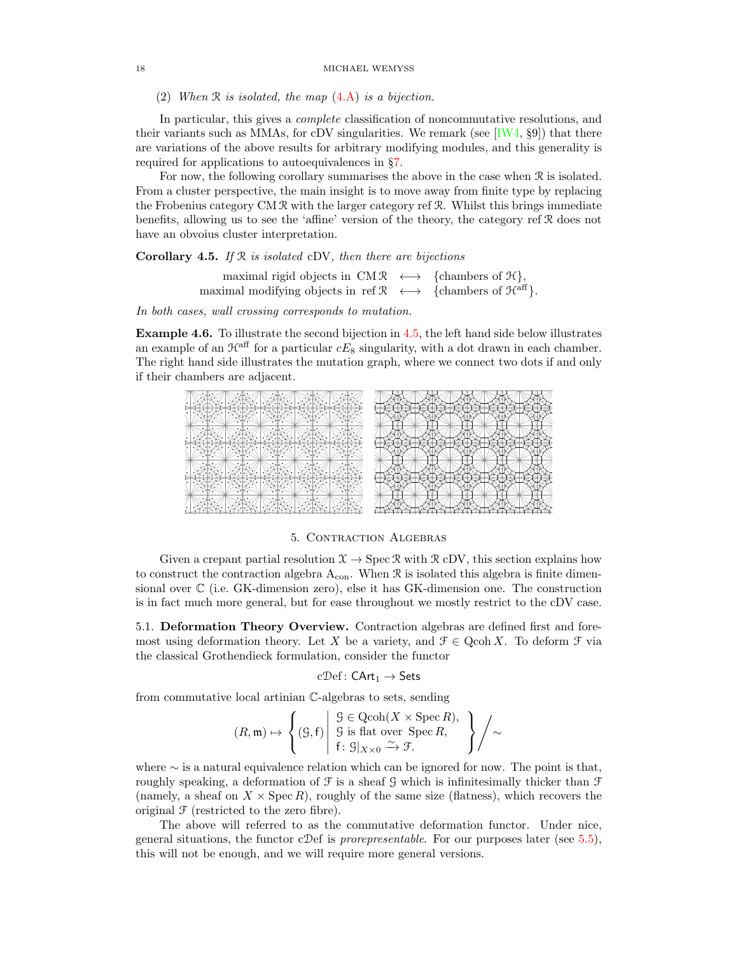(2) When  $\Re$  is isolated, the map  $(4.A)$  is a bijection.

In particular, this gives a complete classification of noncommutative resolutions, and their variants such as MMAs, for cDV singularities. We remark (see  $[IW4, §9]$ ) that there are variations of the above results for arbitrary modifying modules, and this generality is required for applications to autoequivalences in §[7.](#page-24-0)

For now, the following corollary summarises the above in the case when R is isolated. From a cluster perspective, the main insight is to move away from finite type by replacing the Frobenius category CM R with the larger category ref R. Whilst this brings immediate benefits, allowing us to see the 'affine' version of the theory, the category ref R does not have an obvoius cluster interpretation.

<span id="page-17-1"></span>**Corollary 4.5.** If  $\mathbb{R}$  is isolated cDV, then there are bijections

maximal rigid objects in  $CM \mathcal{R} \longleftrightarrow \{chambers of \mathcal{H}\},\$ maximal modifying objects in ref  $\mathcal{R} \longleftrightarrow \{chambers \text{ of } \mathcal{H}^{\text{aff}} \}.$ 

In both cases, wall crossing corresponds to mutation.

Example 4.6. To illustrate the second bijection in [4.5,](#page-17-1) the left hand side below illustrates an example of an  $\mathcal{H}^{\text{aff}}$  for a particular  $cE_8$  singularity, with a dot drawn in each chamber. The right hand side illustrates the mutation graph, where we connect two dots if and only if their chambers are adjacent.



# 5. Contraction Algebras

Given a crepant partial resolution  $\mathcal{X} \to \text{Spec } \mathcal{R}$  with  $\mathcal{R}$  cDV, this section explains how to construct the contraction algebra  $A_{con}$ . When  $\Re$  is isolated this algebra is finite dimensional over C (i.e. GK-dimension zero), else it has GK-dimension one. The construction is in fact much more general, but for ease throughout we mostly restrict to the cDV case.

<span id="page-17-0"></span>5.1. Deformation Theory Overview. Contraction algebras are defined first and foremost using deformation theory. Let X be a variety, and  $\mathcal{F} \in \text{Qcoh } X$ . To deform  $\mathcal{F}$  via the classical Grothendieck formulation, consider the functor

$$
c\mathcal{D}ef\colon\mathsf{CArt}_1\to\mathsf{Sets}
$$

from commutative local artinian C-algebras to sets, sending

$$
(R, \mathfrak{m}) \mapsto \left\{ (9, f) \middle| \begin{array}{l} 9 \in \text{Qcoh}(X \times \text{Spec } R), \\ 9 \text{ is flat over } \text{Spec } R, \\ f: 9 \mid_{X \times 0} \xrightarrow{\sim} \mathcal{F}. \end{array} \right\} \middle/ \sim
$$

where  $\sim$  is a natural equivalence relation which can be ignored for now. The point is that, roughly speaking, a deformation of  $\mathcal F$  is a sheaf  $\mathcal G$  which is infinitesimally thicker than  $\mathcal F$ (namely, a sheaf on  $X \times \text{Spec } R$ ), roughly of the same size (flatness), which recovers the original  $\mathcal F$  (restricted to the zero fibre).

The above will referred to as the commutative deformation functor. Under nice, general situations, the functor cDef is *prorepresentable*. For our purposes later (see  $5.5$ ), this will not be enough, and we will require more general versions.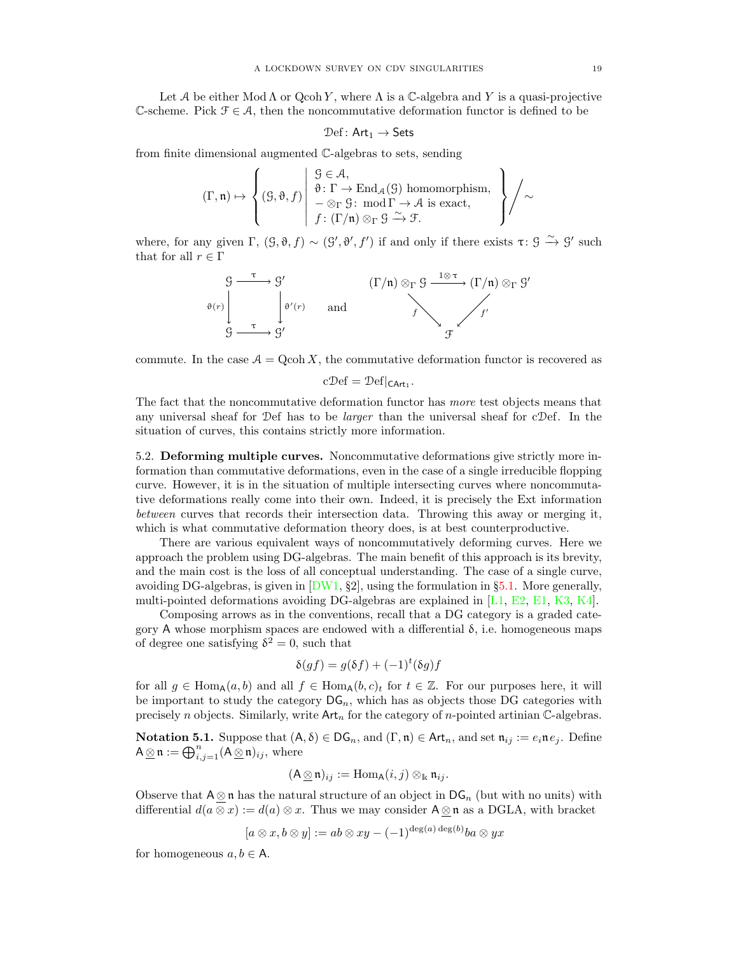Let A be either Mod  $\Lambda$  or Qcoh Y, where  $\Lambda$  is a C-algebra and Y is a quasi-projective C-scheme. Pick  $\mathcal{F} \in \mathcal{A}$ , then the noncommutative deformation functor is defined to be

$$
\mathfrak{Def}\colon \mathsf{Art}_1 \to \mathsf{Sets}
$$

from finite dimensional augmented C-algebras to sets, sending

$$
(\Gamma,\mathfrak{n})\mapsto \left\{(G,\vartheta,f) \left| \begin{array}{l} G\in \mathcal{A}, \\ \vartheta\colon \Gamma\to \operatorname{End}_{\mathcal{A}}(G) \text{ homomorphism, } \\ -\otimes_{\Gamma}G\colon \operatorname{mod}\Gamma\to \mathcal{A} \text{ is exact, } \\ f\colon (\Gamma/\mathfrak{n})\otimes_{\Gamma}G\xrightarrow{\sim} \mathcal{F}. \end{array} \right\}\right/\sim
$$

where, for any given  $\Gamma$ ,  $(\mathcal{G}, \mathfrak{d}, f) \sim (\mathcal{G}', \mathfrak{d}', f')$  if and only if there exists  $\tau : \mathcal{G} \stackrel{\sim}{\rightarrow} \mathcal{G}'$  such that for all  $r \in \Gamma$ 

$$
\begin{array}{ccc}\nG & \xrightarrow{\tau} & G' & (\Gamma/\mathfrak{n}) \otimes_{\Gamma} G & \xrightarrow{1 \otimes \tau} (\Gamma/\mathfrak{n}) \otimes_{\Gamma} G' \\
\downarrow^{\vartheta'(r)} & \text{and} & f & f' \\
G & \xrightarrow{\tau} & G' & \xrightarrow{\tau} & G'\n\end{array}
$$

commute. In the case  $A = \text{Qcoh } X$ , the commutative deformation functor is recovered as

$$
c\mathcal{D}ef = \mathcal{D}ef|_{\mathsf{CArt}_1}.
$$

The fact that the noncommutative deformation functor has more test objects means that any universal sheaf for Def has to be larger than the universal sheaf for cDef. In the situation of curves, this contains strictly more information.

<span id="page-18-0"></span>5.2. Deforming multiple curves. Noncommutative deformations give strictly more information than commutative deformations, even in the case of a single irreducible flopping curve. However, it is in the situation of multiple intersecting curves where noncommutative deformations really come into their own. Indeed, it is precisely the Ext information between curves that records their intersection data. Throwing this away or merging it, which is what commutative deformation theory does, is at best counterproductive.

There are various equivalent ways of noncommutatively deforming curves. Here we approach the problem using DG-algebras. The main benefit of this approach is its brevity, and the main cost is the loss of all conceptual understanding. The case of a single curve, avoiding DG-algebras, is given in  $[DW1, §2]$ , using the formulation in §[5.1.](#page-17-0) More generally, multi-pointed deformations avoiding DG-algebras are explained in [\[L1,](#page-28-9) [E2,](#page-28-10) [E1,](#page-28-11) [K3,](#page-28-12) [K4\]](#page-28-13).

Composing arrows as in the conventions, recall that a DG category is a graded category A whose morphism spaces are endowed with a differential  $\delta$ , i.e. homogeneous maps of degree one satisfying  $\delta^2 = 0$ , such that

$$
\delta(gf) = g(\delta f) + (-1)^t (\delta g) f
$$

for all  $g \in \text{Hom}_{A}(a, b)$  and all  $f \in \text{Hom}_{A}(b, c)$  for  $t \in \mathbb{Z}$ . For our purposes here, it will be important to study the category  $\mathsf{DG}_n$ , which has as objects those DG categories with precisely n objects. Similarly, write  $\text{Art}_n$  for the category of n-pointed artinian C-algebras.

**Notation 5.1.** Suppose that  $(A, \delta) \in DG_n$ , and  $(\Gamma, \mathfrak{n}) \in Art_n$ , and set  $\mathfrak{n}_{ij} := e_i \mathfrak{n} e_j$ . Define  $A \underline{\otimes} \mathfrak{n} := \bigoplus_{i,j=1}^n (A \underline{\otimes} \mathfrak{n})_{ij}$ , where

$$
(\mathsf{A} \otimes \mathfrak{n})_{ij} := \operatorname{Hom}_{\mathsf{A}}(i,j) \otimes_{\mathbb{k}} \mathfrak{n}_{ij}.
$$

Observe that  $A \otimes n$  has the natural structure of an object in  $DG_n$  (but with no units) with differential  $d(a \otimes x) := d(a) \otimes x$ . Thus we may consider  $A \otimes n$  as a DGLA, with bracket

$$
[a \otimes x, b \otimes y] := ab \otimes xy - (-1)^{\deg(a) \deg(b)} ba \otimes yx
$$

for homogeneous  $a, b \in A$ .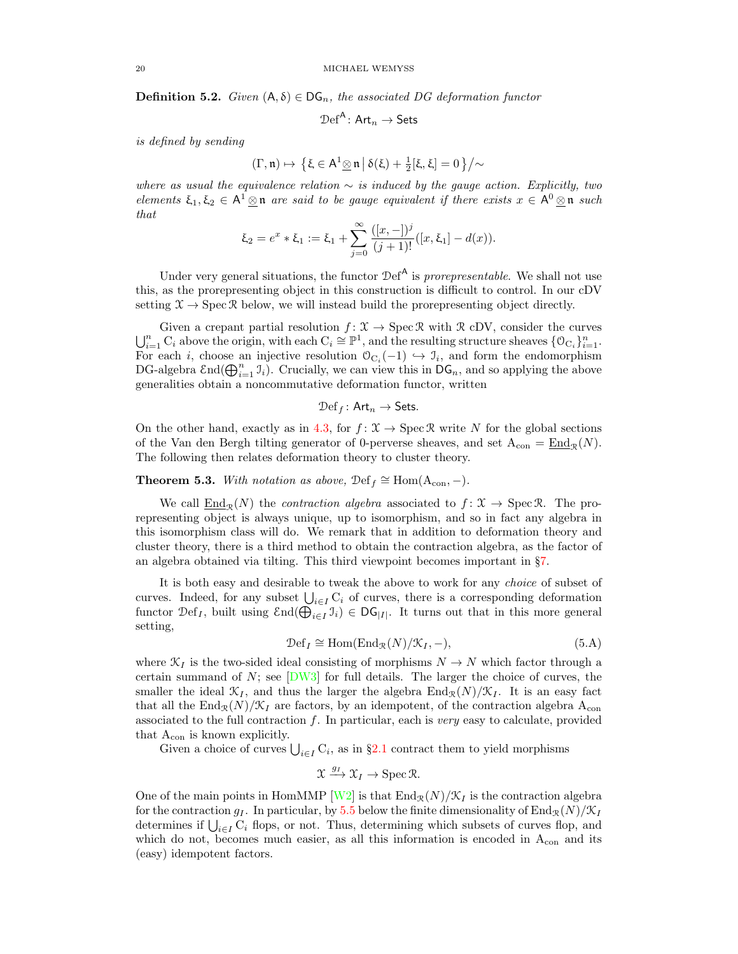**Definition 5.2.** Given  $(A, \delta) \in DG_n$ , the associated DG deformation functor

$$
\mathcal{D}\mathrm{ef}^{\mathsf{A}}\colon \mathsf{Art}_n\to \mathsf{Sets}
$$

is defined by sending

$$
(\Gamma,\mathfrak{n}) \mapsto \left\{ \xi \in \mathsf{A}^1 \underline{\otimes} \mathfrak{n} \, \middle| \, \delta(\xi) + \frac{1}{2} [\xi,\xi] = 0 \right\} \big/ \sim
$$

where as usual the equivalence relation  $\sim$  is induced by the gauge action. Explicitly, two elements  $\xi_1, \xi_2 \in A^1 \otimes \mathfrak{n}$  are said to be gauge equivalent if there exists  $x \in A^0 \otimes \mathfrak{n}$  such that

$$
\xi_2 = e^x * \xi_1 := \xi_1 + \sum_{j=0}^{\infty} \frac{([x, -])^j}{(j + 1)!} ([x, \xi_1] - d(x)).
$$

Under very general situations, the functor  $\mathcal{D}ef^{\mathsf{A}}$  is prorepresentable. We shall not use this, as the prorepresenting object in this construction is difficult to control. In our cDV setting  $\mathfrak{X} \to \operatorname{Spec} \mathfrak{R}$  below, we will instead build the prorepresenting object directly.

Given a crepant partial resolution  $f: \mathcal{X} \to \text{Spec} \mathcal{R}$  with  $\mathcal{R}$  cDV, consider the curves  $\bigcup_{i=1}^n C_i$  above the origin, with each  $C_i \cong \mathbb{P}^1$ , and the resulting structure sheaves  $\{0_{C_i}\}_{i=1}^n$ . For each *i*, choose an injective resolution  $\mathcal{O}_{C_i}(-1) \hookrightarrow \mathcal{I}_i$ , and form the endomorphism DG-algebra  $\text{End}(\bigoplus_{i=1}^n \mathfrak{I}_i)$ . Crucially, we can view this in  $\text{DG}_n$ , and so applying the above generalities obtain a noncommutative deformation functor, written

$$
\mathcal{D}ef_f: \mathsf{Art}_n \to \mathsf{Sets}.
$$

On the other hand, exactly as in [4.3,](#page-16-1) for  $f: \mathcal{X} \to \text{Spec } \mathcal{R}$  write N for the global sections of the Van den Bergh tilting generator of 0-perverse sheaves, and set  $A_{con} = \underline{End}_{\mathcal{R}}(N)$ . The following then relates deformation theory to cluster theory.

**Theorem 5.3.** With notation as above,  $\operatorname{Def}_f \cong \text{Hom}(\mathcal{A}_{con},-)$ .

We call  $\underline{End}_{\mathcal{R}}(N)$  the *contraction algebra* associated to  $f : \mathcal{X} \to \text{Spec } \mathcal{R}$ . The prorepresenting object is always unique, up to isomorphism, and so in fact any algebra in this isomorphism class will do. We remark that in addition to deformation theory and cluster theory, there is a third method to obtain the contraction algebra, as the factor of an algebra obtained via tilting. This third viewpoint becomes important in §[7.](#page-24-0)

It is both easy and desirable to tweak the above to work for any choice of subset of curves. Indeed, for any subset  $\bigcup_{i\in I} C_i$  of curves, there is a corresponding deformation functor  $\mathcal{D}ef_I$ , built using  $\text{End}(\bigoplus_{i\in I} \mathcal{I}_i) \in \text{DG}_{|I|}$ . It turns out that in this more general setting,

<span id="page-19-0"></span>
$$
\mathcal{D}ef_I \cong \text{Hom}(\text{End}_{\mathcal{R}}(N)/\mathcal{K}_I, -),\tag{5.A}
$$

where  $\mathcal{K}_I$  is the two-sided ideal consisting of morphisms  $N \to N$  which factor through a certain summand of  $N$ ; see  $[DW3]$  for full details. The larger the choice of curves, the smaller the ideal  $\mathcal{K}_I$ , and thus the larger the algebra  $\text{End}_{\mathcal{R}}(N)/\mathcal{K}_I$ . It is an easy fact that all the End<sub>R</sub> $(N)/\mathcal{K}_I$  are factors, by an idempotent, of the contraction algebra A<sub>con</sub> associated to the full contraction  $f$ . In particular, each is very easy to calculate, provided that  $A_{\rm con}$  is known explicitly.

Given a choice of curves  $\bigcup_{i \in I} C_i$ , as in §[2.1](#page-9-0) contract them to yield morphisms

$$
\mathfrak{X} \xrightarrow{g_I} \mathfrak{X}_I \to \mathrm{Spec} \, \mathfrak{R}.
$$

One of the main points in HomMMP [\[W2\]](#page-29-4) is that  $\text{End}_{\mathcal{R}}(N)/\mathcal{K}_I$  is the contraction algebra for the contraction  $g_I$ . In particular, by [5.5](#page-20-0) below the finite dimensionality of End<sub>R</sub>(N)/ $\mathcal{K}_I$ determines if  $\bigcup_{i\in I} C_i$  flops, or not. Thus, determining which subsets of curves flop, and which do not, becomes much easier, as all this information is encoded in  $A_{con}$  and its (easy) idempotent factors.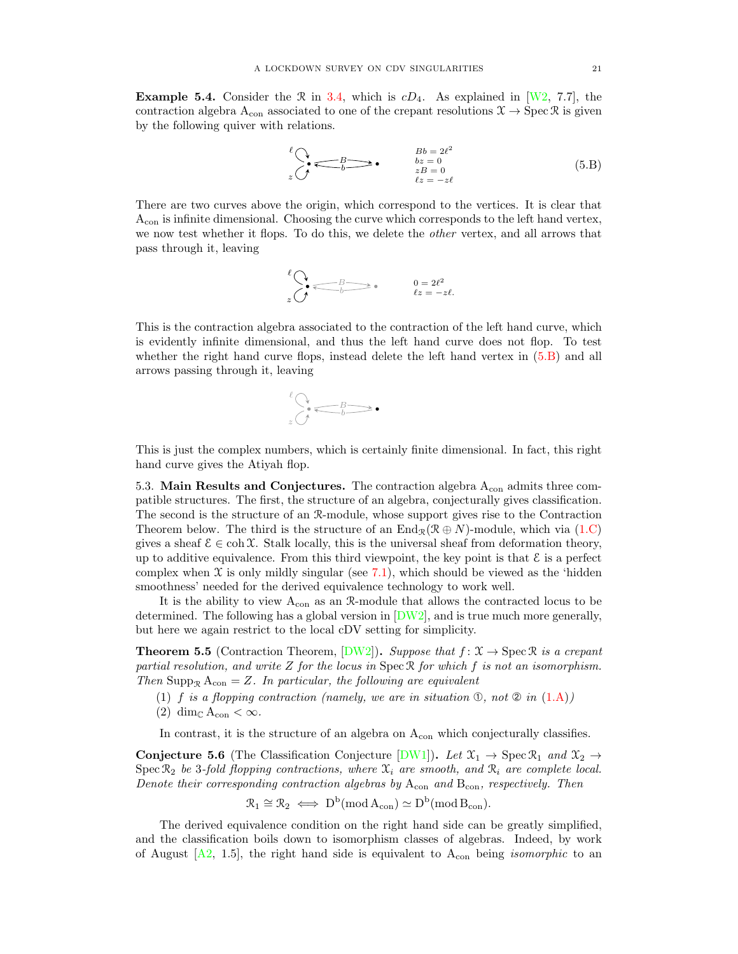**Example 5.4.** Consider the  $\Re$  in [3.4,](#page-15-1) which is  $cD_4$ . As explained in [\[W2,](#page-29-4) 7.7], the contraction algebra  $A_{con}$  associated to one of the crepant resolutions  $\mathcal{X} \to \text{Spec } \mathcal{R}$  is given by the following quiver with relations.

<span id="page-20-3"></span>
$$
\begin{array}{ccc}\n\ell & & Bb = 2\ell^2 \\
\hline\n\ell & & bz = 0 \\
z & & zB = 0 \\
\ell z = -z\ell\n\end{array}\n\tag{5.B}
$$

There are two curves above the origin, which correspond to the vertices. It is clear that Acon is infinite dimensional. Choosing the curve which corresponds to the left hand vertex, we now test whether it flops. To do this, we delete the other vertex, and all arrows that pass through it, leaving

$$
\ell \bigotimes_{z \in \mathcal{Z}} \ell \bigotimes_{b \in \mathcal{Z}} \ell \bigotimes_{z \in \mathcal{Z}} \ell \bigotimes_{z \in \mathcal{Z}} \ell \bigotimes_{z \in \mathcal{Z}} \ell \bigotimes_{z \in \mathcal{Z}} \ell \bigotimes_{z \in \mathcal{Z}} \ell \bigotimes_{z \in \mathcal{Z}} \ell \bigotimes_{z \in \mathcal{Z}} \ell \bigotimes_{z \in \mathcal{Z}} \ell \bigotimes_{z \in \mathcal{Z}} \ell \bigotimes_{z \in \mathcal{Z}} \ell \bigotimes_{z \in \mathcal{Z}} \ell \bigotimes_{z \in \mathcal{Z}} \ell \bigotimes_{z \in \mathcal{Z}} \ell \bigotimes_{z \in \mathcal{Z}} \ell \bigotimes_{z \in \mathcal{Z}} \ell \bigotimes_{z \in \mathcal{Z}} \ell \bigotimes_{z \in \mathcal{Z}} \ell \bigotimes_{z \in \mathcal{Z}} \ell \bigotimes_{z \in \mathcal{Z}} \ell \bigotimes_{z \in \mathcal{Z}} \ell \bigotimes_{z \in \mathcal{Z}} \ell \bigotimes_{z \in \mathcal{Z}} \ell \bigotimes_{z \in \mathcal{Z}} \ell \bigotimes_{z \in \mathcal{Z}} \ell \bigotimes_{z \in \mathcal{Z}} \ell \bigotimes_{z \in \mathcal{Z}} \ell \bigotimes_{z \in \mathcal{Z}} \ell \bigotimes_{z \in \mathcal{Z}} \ell \bigotimes_{z \in \mathcal{Z}} \ell \bigotimes_{z \in \mathcal{Z}} \ell \bigotimes_{z \in \mathcal{Z}} \ell \bigotimes_{z \in \mathcal{Z}} \ell \bigotimes_{z \in \mathcal{Z}} \ell \bigotimes_{z \in \mathcal{Z}} \ell \bigotimes_{z \in \mathcal{Z}} \ell \bigotimes_{z \in \mathcal{Z}} \ell \bigotimes_{z \in \mathcal{Z}} \ell \bigotimes_{z \in \mathcal{Z}} \ell \bigotimes_{z \in \mathcal{Z}} \ell \bigotimes_{z \in \mathcal{Z}} \ell \bigotimes_{z \in \mathcal{Z}} \ell \bigotimes_{z \in \mathcal{Z}} \ell \bigotimes_{z \in \mathcal{Z}} \ell \bigotimes_{z \in \mathcal{Z}} \ell \bigotimes_{z \in \mathcal{Z}} \ell \bigotimes_{z
$$

This is the contraction algebra associated to the contraction of the left hand curve, which is evidently infinite dimensional, and thus the left hand curve does not flop. To test whether the right hand curve flops, instead delete the left hand vertex in [\(5.B\)](#page-20-3) and all arrows passing through it, leaving

$$
\bigcirc_{z}^{l} \underbrace{\bigcirc_{b} \underbrace{\qquad \qquad }_{b}}.
$$

This is just the complex numbers, which is certainly finite dimensional. In fact, this right hand curve gives the Atiyah flop.

<span id="page-20-2"></span>5.3. Main Results and Conjectures. The contraction algebra  $A_{\rm con}$  admits three compatible structures. The first, the structure of an algebra, conjecturally gives classification. The second is the structure of an R-module, whose support gives rise to the Contraction Theorem below. The third is the structure of an  $\text{End}_{\mathcal{R}}(\mathcal{R} \oplus N)$ -module, which via [\(1.C\)](#page-2-1) gives a sheaf  $\mathcal{E} \in \text{coh } \mathfrak{X}$ . Stalk locally, this is the universal sheaf from deformation theory, up to additive equivalence. From this third viewpoint, the key point is that  $\mathcal E$  is a perfect complex when  $\mathfrak X$  is only mildly singular (see [7.1\)](#page-25-0), which should be viewed as the 'hidden smoothness' needed for the derived equivalence technology to work well.

It is the ability to view  $A_{con}$  as an  $\mathcal{R}\text{-module}$  that allows the contracted locus to be determined. The following has a global version in  $[DW2]$ , and is true much more generally, but here we again restrict to the local cDV setting for simplicity.

<span id="page-20-0"></span>**Theorem 5.5** (Contraction Theorem,  $[DW2]$ ). Suppose that  $f: \mathcal{X} \to \text{Spec } \mathcal{R}$  is a crepant partial resolution, and write  $Z$  for the locus in  $Spec \, \mathcal{R}$  for which f is not an isomorphism. Then Supp<sub>R</sub>  $A_{con} = Z$ . In particular, the following are equivalent

- (1) f is a flopping contraction (namely, we are in situation  $\mathcal{D}$ , not  $\mathcal{D}$  in  $(1.A)$ )
- (2) dim<sub>C</sub>  $A_{con} < \infty$ .

In contrast, it is the structure of an algebra on  $A_{con}$  which conjecturally classifies.

<span id="page-20-1"></span>**Conjecture 5.6** (The Classification Conjecture [\[DW1\]](#page-28-8)). Let  $\mathfrak{X}_1 \rightarrow \operatorname{Spec} \mathfrak{X}_1$  and  $\mathfrak{X}_2 \rightarrow$ Spec  $\mathcal{R}_2$  be 3-fold flopping contractions, where  $\mathcal{X}_i$  are smooth, and  $\mathcal{R}_i$  are complete local. Denote their corresponding contraction algebras by  $A_{con}$  and  $B_{con}$ , respectively. Then

$$
\mathcal{R}_1 \cong \mathcal{R}_2 \iff D^b(\operatorname{mod} A_{con}) \simeq D^b(\operatorname{mod} B_{con}).
$$

The derived equivalence condition on the right hand side can be greatly simplified, and the classification boils down to isomorphism classes of algebras. Indeed, by work of August  $[A2, 1.5]$ , the right hand side is equivalent to  $A_{con}$  being *isomorphic* to an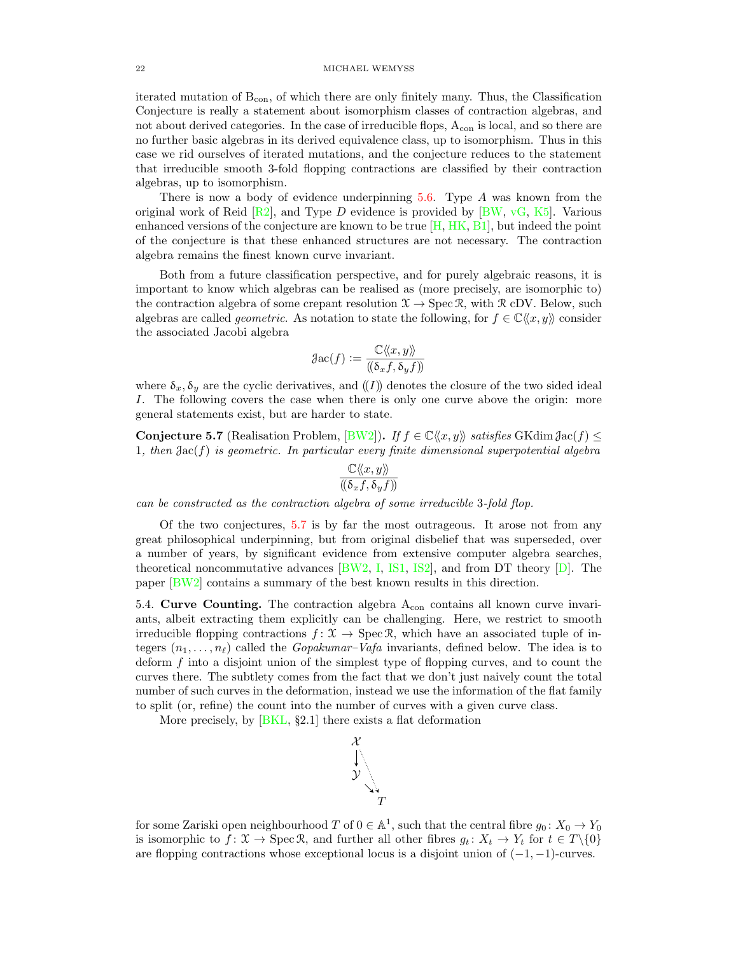iterated mutation of  $B_{con}$ , of which there are only finitely many. Thus, the Classification Conjecture is really a statement about isomorphism classes of contraction algebras, and not about derived categories. In the case of irreducible flops,  $A_{con}$  is local, and so there are no further basic algebras in its derived equivalence class, up to isomorphism. Thus in this case we rid ourselves of iterated mutations, and the conjecture reduces to the statement that irreducible smooth 3-fold flopping contractions are classified by their contraction algebras, up to isomorphism.

There is now a body of evidence underpinning [5.6.](#page-20-1) Type A was known from the original work of Reid  $\left[\text{R2}\right]$ , and Type D evidence is provided by  $\left[\text{BW}, \text{vG}, \text{K5}\right]$ . Various enhanced versions of the conjecture are known to be true [\[H,](#page-28-18) [HK,](#page-28-19) [B1\]](#page-28-20), but indeed the point of the conjecture is that these enhanced structures are not necessary. The contraction algebra remains the finest known curve invariant.

Both from a future classification perspective, and for purely algebraic reasons, it is important to know which algebras can be realised as (more precisely, are isomorphic to) the contraction algebra of some crepant resolution  $\mathfrak{X} \to \text{Spec } \mathfrak{R}$ , with  $\mathfrak{R}$  cDV. Below, such algebras are called *geometric*. As notation to state the following, for  $f \in \mathbb{C} \langle x, y \rangle$  consider the associated Jacobi algebra

$$
\mathfrak{Jac}(f) := \frac{\mathbb{C}\langle\!\langle x, y \rangle\!\rangle}{(\!(\delta_x f, \delta_y f)\!)}
$$

where  $\delta_x$ ,  $\delta_y$  are the cyclic derivatives, and  $(I)$  denotes the closure of the two sided ideal I. The following covers the case when there is only one curve above the origin: more general statements exist, but are harder to state.

<span id="page-21-1"></span>Conjecture 5.7 (Realisation Problem, [\[BW2\]](#page-28-21)). If  $f \in \mathbb{C}\langle x, y \rangle$  satisfies GKdim  $\mathcal{J}_{\text{ac}}(f) \leq$ 1, then  $Jac(f)$  is geometric. In particular every finite dimensional superpotential algebra

$$
\frac{\mathbb{C}\langle\!\langle x,y\rangle\!\rangle}{(\!(\delta_xf,\delta_yf)\!)}
$$

can be constructed as the contraction algebra of some irreducible 3-fold flop.

Of the two conjectures, [5.7](#page-21-1) is by far the most outrageous. It arose not from any great philosophical underpinning, but from original disbelief that was superseded, over a number of years, by significant evidence from extensive computer algebra searches, theoretical noncommutative advances [\[BW2,](#page-28-21) [I,](#page-28-22) [IS1,](#page-28-23) [IS2\]](#page-28-24), and from DT theory [\[D\]](#page-28-25). The paper [\[BW2\]](#page-28-21) contains a summary of the best known results in this direction.

<span id="page-21-0"></span>5.4. Curve Counting. The contraction algebra  $A_{con}$  contains all known curve invariants, albeit extracting them explicitly can be challenging. Here, we restrict to smooth irreducible flopping contractions  $f: \mathcal{X} \to \text{Spec} \mathcal{R}$ , which have an associated tuple of integers  $(n_1, \ldots, n_\ell)$  called the *Gopakumar–Vafa* invariants, defined below. The idea is to deform f into a disjoint union of the simplest type of flopping curves, and to count the curves there. The subtlety comes from the fact that we don't just naively count the total number of such curves in the deformation, instead we use the information of the flat family to split (or, refine) the count into the number of curves with a given curve class.

More precisely, by  $[BKL, §2.1]$  there exists a flat deformation



for some Zariski open neighbourhood T of  $0 \in \mathbb{A}^1$ , such that the central fibre  $g_0: X_0 \to Y_0$ is isomorphic to  $f: \mathcal{X} \to \text{Spec } \mathcal{R}$ , and further all other fibres  $g_t: X_t \to Y_t$  for  $t \in T \setminus \{0\}$ are flopping contractions whose exceptional locus is a disjoint union of  $(-1, -1)$ -curves.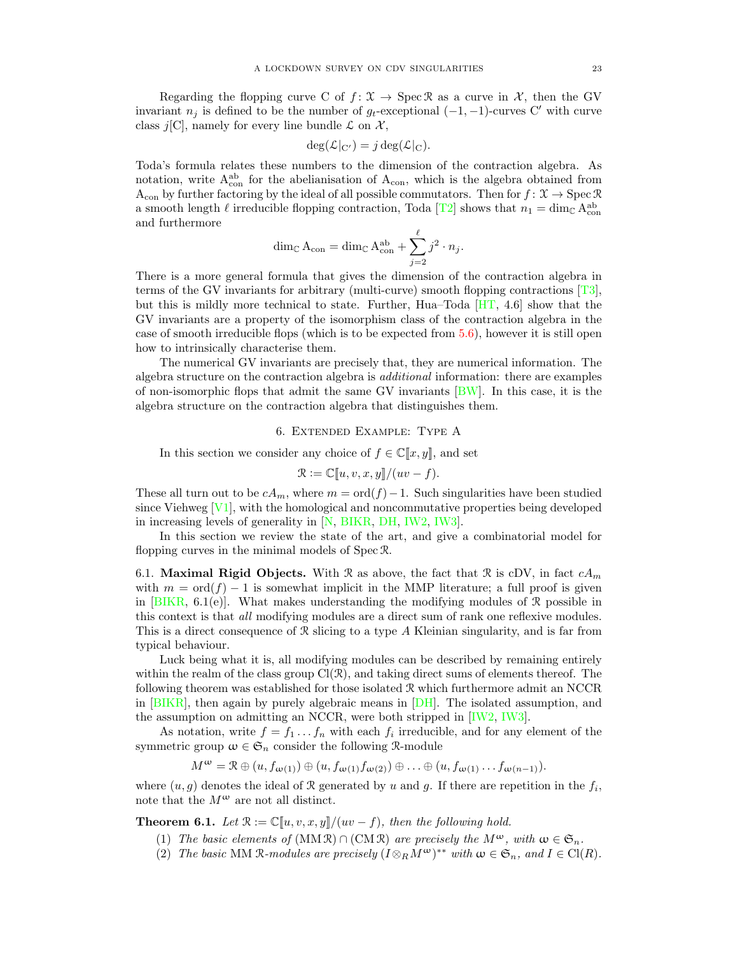Regarding the flopping curve C of  $f: \mathcal{X} \to \text{Spec } \mathcal{R}$  as a curve in X, then the GV invariant  $n_j$  is defined to be the number of  $g_t$ -exceptional  $(-1, -1)$ -curves C' with curve class j[C], namely for every line bundle  $\mathcal L$  on  $\mathcal X$ ,

$$
\deg(\mathcal{L}|_{C'}) = j \deg(\mathcal{L}|_{C}).
$$

Toda's formula relates these numbers to the dimension of the contraction algebra. As notation, write  $A_{\text{con}}^{\text{ab}}$  for the abelianisation of  $A_{\text{con}}$ , which is the algebra obtained from  $A_{con}$  by further factoring by the ideal of all possible commutators. Then for  $f: \mathcal{X} \to \text{Spec } \mathcal{R}$ a smooth length  $\ell$  irreducible flopping contraction, Toda [\[T2\]](#page-29-6) shows that  $n_1 = \dim_{\mathbb{C}} A_{con}^{ab}$ and furthermore

$$
\dim_{\mathbb{C}} A_{\text{con}} = \dim_{\mathbb{C}} A_{\text{con}}^{\text{ab}} + \sum_{j=2}^{\ell} j^2 \cdot n_j.
$$

There is a more general formula that gives the dimension of the contraction algebra in terms of the GV invariants for arbitrary (multi-curve) smooth flopping contractions [\[T3\]](#page-29-15), but this is mildly more technical to state. Further, Hua–Toda [\[HT,](#page-28-27) 4.6] show that the GV invariants are a property of the isomorphism class of the contraction algebra in the case of smooth irreducible flops (which is to be expected from  $5.6$ ), however it is still open how to intrinsically characterise them.

The numerical GV invariants are precisely that, they are numerical information. The algebra structure on the contraction algebra is additional information: there are examples of non-isomorphic flops that admit the same GV invariants [\[BW\]](#page-28-16). In this case, it is the algebra structure on the contraction algebra that distinguishes them.

## 6. Extended Example: Type A

<span id="page-22-0"></span>In this section we consider any choice of  $f \in \mathbb{C}[[x, y]]$ , and set

$$
\mathcal{R} := \mathbb{C}[[u, v, x, y]]/(uv - f).
$$

These all turn out to be  $cA_m$ , where  $m = \text{ord}(f) - 1$ . Such singularities have been studied since Viehweg  $[V_1]$ , with the homological and noncommutative properties being developed in increasing levels of generality in [\[N,](#page-29-17) [BIKR,](#page-28-28) [DH,](#page-28-29) [IW2,](#page-28-0) [IW3\]](#page-28-30).

In this section we review the state of the art, and give a combinatorial model for flopping curves in the minimal models of Spec R.

6.1. Maximal Rigid Objects. With R as above, the fact that R is cDV, in fact  $cA_m$ with  $m = \text{ord}(f) - 1$  is somewhat implicit in the MMP literature; a full proof is given in  $[BIKR, 6.1(e)]$ . What makes understanding the modifying modules of R possible in this context is that all modifying modules are a direct sum of rank one reflexive modules. This is a direct consequence of R slicing to a type A Kleinian singularity, and is far from typical behaviour.

Luck being what it is, all modifying modules can be described by remaining entirely within the realm of the class group  $Cl(\mathcal{R})$ , and taking direct sums of elements thereof. The following theorem was established for those isolated  $R$  which furthermore admit an NCCR in [\[BIKR\]](#page-28-28), then again by purely algebraic means in [\[DH\]](#page-28-29). The isolated assumption, and the assumption on admitting an NCCR, were both stripped in [\[IW2,](#page-28-0) [IW3\]](#page-28-30).

As notation, write  $f = f_1 \dots f_n$  with each  $f_i$  irreducible, and for any element of the symmetric group  $\omega \in \mathfrak{S}_n$  consider the following R-module

$$
M^{\omega} = \mathcal{R} \oplus (u, f_{\omega(1)}) \oplus (u, f_{\omega(1)} f_{\omega(2)}) \oplus \ldots \oplus (u, f_{\omega(1)} \ldots f_{\omega(n-1)}).
$$

where  $(u, g)$  denotes the ideal of R generated by u and g. If there are repetition in the  $f_i$ , note that the  $M^{\omega}$  are not all distinct.

<span id="page-22-2"></span><span id="page-22-1"></span>**Theorem 6.1.** Let  $\mathcal{R} := \mathbb{C}[u, v, x, y]/(uv - f)$ , then the following hold.

- (1) The basic elements of  $(MM \mathbb{R}) \cap (CM \mathbb{R})$  are precisely the  $M^{\omega}$ , with  $\omega \in \mathfrak{S}_n$ .
- (2) The basic MM R-modules are precisely  $(I \otimes_R M^{\omega})^{**}$  with  $\omega \in \mathfrak{S}_n$ , and  $I \in \mathrm{Cl}(R)$ .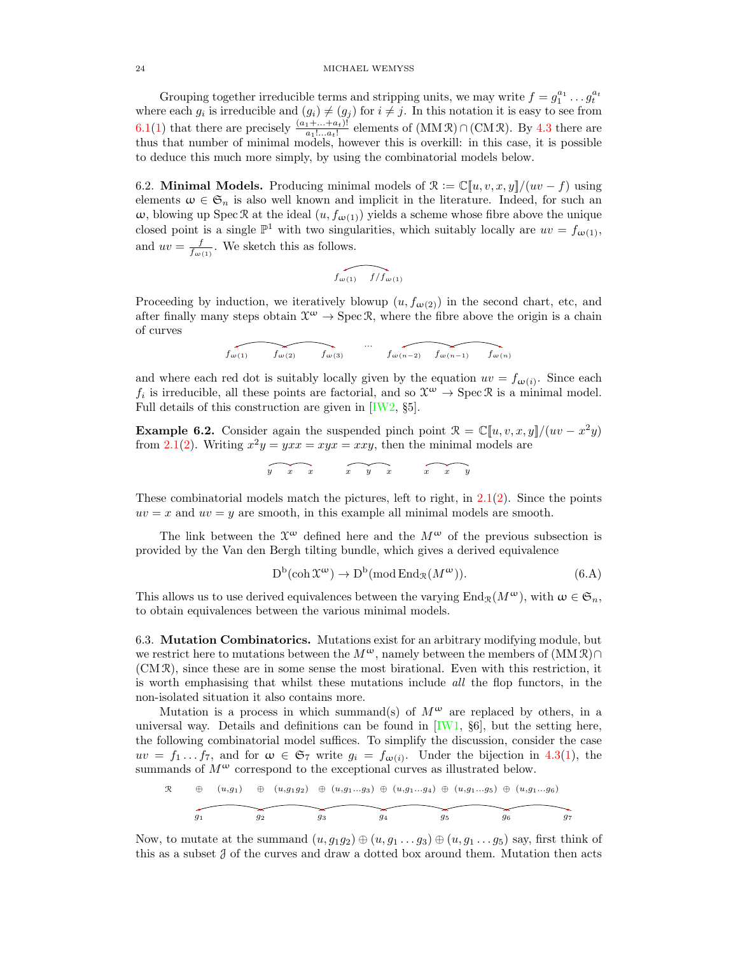Grouping together irreducible terms and stripping units, we may write  $f = g_1^{a_1} \dots g_t^{a_t}$ where each  $g_i$  is irreducible and  $(g_i) \neq (g_j)$  for  $i \neq j$ . In this notation it is easy to see from [6.1](#page-22-1)[\(1\)](#page-22-2) that there are precisely  $\frac{(a_1 + ... + a_t)!}{a_1! ... a_t!}$  elements of  $(MM \mathcal{R}) \cap (CM \mathcal{R})$ . By [4.3](#page-16-1) there are thus that number of minimal models, however this is overkill: in this case, it is possible to deduce this much more simply, by using the combinatorial models below.

<span id="page-23-0"></span>6.2. **Minimal Models.** Producing minimal models of  $\mathcal{R} := \mathbb{C}[u, v, x, y]/(uv - f)$  using elements  $\omega \in \mathfrak{S}_n$  is also well known and implicit in the literature. Indeed, for such an  $ω$ , blowing up Spec R at the ideal  $(u, f<sub>ω(1)</sub>)$  yields a scheme whose fibre above the unique closed point is a single  $\mathbb{P}^1$  with two singularities, which suitably locally are  $uv = f_{\omega(1)}$ , and  $uv = \frac{f}{f_{\omega(1)}}$ . We sketch this as follows.

$$
\widehat{f_{\omega(1)} - f/f_{\omega(1)}}
$$

Proceeding by induction, we iteratively blowup  $(u, f_{\omega(2)})$  in the second chart, etc, and after finally many steps obtain  $\mathfrak{X}^{\omega} \to \text{Spec } \mathfrak{R}$ , where the fibre above the origin is a chain of curves

$$
f_{\omega(1)}
$$
  $f_{\omega(2)}$   $f_{\omega(3)}$   $f_{\omega(n-2)}$   $f_{\omega(n-1)}$   $f_{\omega(n)}$ 

and where each red dot is suitably locally given by the equation  $uv = f_{\omega(i)}$ . Since each  $f_i$  is irreducible, all these points are factorial, and so  $\mathcal{X}^{\omega} \to \text{Spec } \mathcal{R}$  is a minimal model. Full details of this construction are given in [\[IW2,](#page-28-0) §5].

**Example 6.2.** Consider again the suspended pinch point  $\mathcal{R} = \mathbb{C}[u, v, x, y]/(uv - x^2y)$ from [2.1\(](#page-9-1)[2\)](#page-9-6). Writing  $x^2y = yxx = xyx = xxy$ , then the minimal models are

$$
\widehat{y} \quad x \quad x \quad x \quad y \quad x \quad x \quad y
$$

These combinatorial models match the pictures, left to right, in  $2.1(2)$  $2.1(2)$ . Since the points  $uv = x$  and  $uv = y$  are smooth, in this example all minimal models are smooth.

The link between the  $\mathfrak{X}^{\omega}$  defined here and the  $M^{\omega}$  of the previous subsection is provided by the Van den Bergh tilting bundle, which gives a derived equivalence

<span id="page-23-1"></span>
$$
D^{b}(\operatorname{coh} \mathfrak{X}^{\omega}) \to D^{b}(\operatorname{mod} \operatorname{End}_{\mathfrak{X}}(M^{\omega})).
$$
\n(6.A)

This allows us to use derived equivalences between the varying  $\text{End}_{\mathcal{R}}(M^{\omega})$ , with  $\omega \in \mathfrak{S}_n$ , to obtain equivalences between the various minimal models.

6.3. Mutation Combinatorics. Mutations exist for an arbitrary modifying module, but we restrict here to mutations between the  $M^{\omega}$ , namely between the members of  $(MM\mathcal{R})\cap$ (CM R), since these are in some sense the most birational. Even with this restriction, it is worth emphasising that whilst these mutations include all the flop functors, in the non-isolated situation it also contains more.

Mutation is a process in which summand(s) of  $M^{\omega}$  are replaced by others, in a universal way. Details and definitions can be found in  $[IW1, §6]$ , but the setting here, the following combinatorial model suffices. To simplify the discussion, consider the case  $uv = f_1 \dots f_7$ , and for  $\omega \in \mathfrak{S}_7$  write  $g_i = f_{\omega(i)}$ . Under the bijection in [4.3\(](#page-16-1)[1\)](#page-16-3), the summands of  $M^{\omega}$  correspond to the exceptional curves as illustrated below.

$$
\begin{array}{cccccccc}\n\mathcal{R} & \oplus & (u,g_1) & \oplus & (u,g_1g_2) & \oplus & (u,g_1...g_3) & \oplus & (u,g_1...g_4) & \oplus & (u,g_1...g_5) & \oplus & (u,g_1...g_6) \\
\hline\n\end{array}
$$

Now, to mutate at the summand  $(u, g_1g_2) \oplus (u, g_1 \ldots g_3) \oplus (u, g_1 \ldots g_5)$  say, first think of this as a subset  $J$  of the curves and draw a dotted box around them. Mutation then acts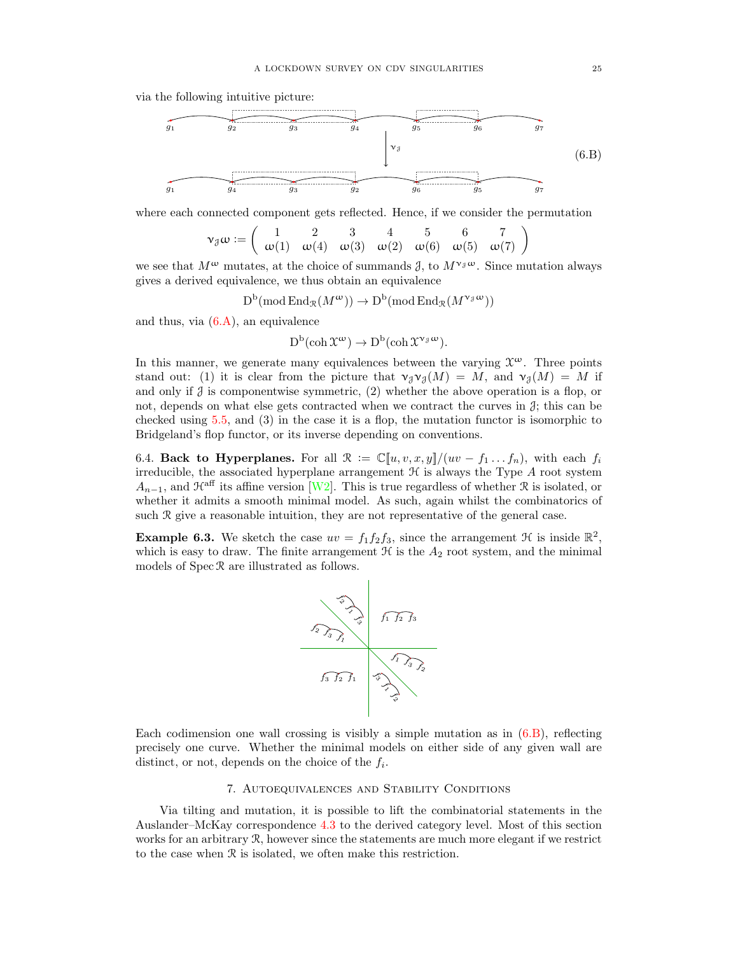via the following intuitive picture:

<span id="page-24-1"></span>

where each connected component gets reflected. Hence, if we consider the permutation

$$
\mathbf{v}_{\beta}\omega := \left(\begin{array}{cccccc} 1 & 2 & 3 & 4 & 5 & 6 & 7 \\ \omega(1) & \omega(4) & \omega(3) & \omega(2) & \omega(6) & \omega(5) & \omega(7) \end{array}\right)
$$

we see that  $M^{\omega}$  mutates, at the choice of summands  $\beta$ , to  $M^{\nu}^{\beta}{}^{\omega}$ . Since mutation always gives a derived equivalence, we thus obtain an equivalence

$$
D^{\mathrm{b}}(\mathrm{mod}\, \mathrm{End}_{\mathcal{R}}(M^{\omega})) \to D^{\mathrm{b}}(\mathrm{mod}\, \mathrm{End}_{\mathcal{R}}(M^{\nu_{\mathcal{J}}\omega}))
$$

and thus, via  $(6.A)$ , an equivalence

$$
D^b(\operatorname{coh} \mathfrak{X}^{\omega}) \to D^b(\operatorname{coh} \mathfrak{X}^{\nu_{\mathfrak{F}} \omega}).
$$

In this manner, we generate many equivalences between the varying  $\mathfrak{X}^{\omega}$ . Three points stand out: (1) it is clear from the picture that  $\nu_{\partial} \nu_{\partial} (M) = M$ , and  $\nu_{\partial} (M) = M$  if and only if  $\beta$  is componentwise symmetric, (2) whether the above operation is a flop, or not, depends on what else gets contracted when we contract the curves in  $\mathcal{J}$ ; this can be checked using [5.5,](#page-20-0) and (3) in the case it is a flop, the mutation functor is isomorphic to Bridgeland's flop functor, or its inverse depending on conventions.

6.4. Back to Hyperplanes. For all  $\mathcal{R} := \mathbb{C}[[u, v, x, y]]/(uv - f_1 \dots f_n)$ , with each  $f_i$ irreducible, the associated hyperplane arrangement  $\mathcal H$  is always the Type  $A$  root system  $A_{n-1}$ , and  $\mathcal{H}^{\text{aff}}$  its affine version [\[W2\]](#page-29-4). This is true regardless of whether R is isolated, or whether it admits a smooth minimal model. As such, again whilst the combinatorics of such R give a reasonable intuition, they are not representative of the general case.

**Example 6.3.** We sketch the case  $uv = f_1 f_2 f_3$ , since the arrangement  $\mathcal{H}$  is inside  $\mathbb{R}^2$ , which is easy to draw. The finite arrangement  $\mathcal H$  is the  $A_2$  root system, and the minimal models of  $Spec \, \mathcal{R}$  are illustrated as follows.



Each codimension one wall crossing is visibly a simple mutation as in  $(6.B)$ , reflecting precisely one curve. Whether the minimal models on either side of any given wall are distinct, or not, depends on the choice of the  $f_i$ .

# 7. Autoequivalences and Stability Conditions

<span id="page-24-0"></span>Via tilting and mutation, it is possible to lift the combinatorial statements in the Auslander–McKay correspondence [4.3](#page-16-1) to the derived category level. Most of this section works for an arbitrary  $\mathcal{R}$ , however since the statements are much more elegant if we restrict to the case when R is isolated, we often make this restriction.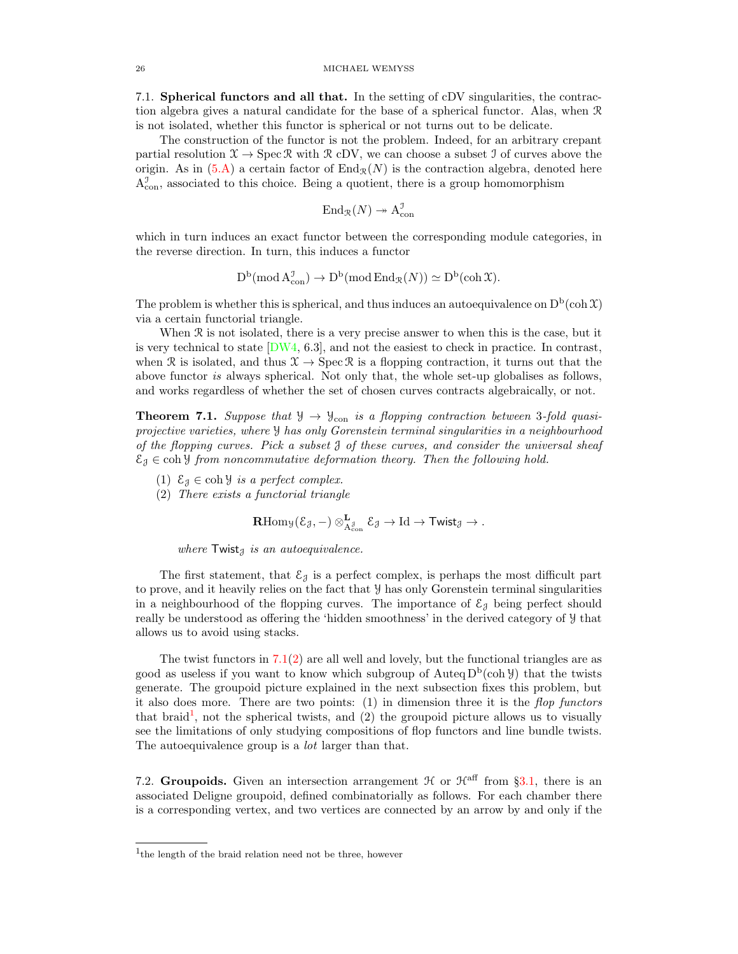7.1. Spherical functors and all that. In the setting of cDV singularities, the contraction algebra gives a natural candidate for the base of a spherical functor. Alas, when R is not isolated, whether this functor is spherical or not turns out to be delicate.

The construction of the functor is not the problem. Indeed, for an arbitrary crepant partial resolution  $\mathfrak{X} \to \operatorname{Spec} \mathfrak{R}$  with  $\mathfrak{R}$  cDV, we can choose a subset I of curves above the origin. As in  $(5.A)$  a certain factor of  $\text{End}_{\mathcal{R}}(N)$  is the contraction algebra, denoted here  $A_{\text{con}}^{\mathcal{I}}$ , associated to this choice. Being a quotient, there is a group homomorphism

$$
\operatorname{End}_{\mathcal{R}}(N) \twoheadrightarrow \operatorname{A}_{\operatorname{con}}^{\mathcal{I}}
$$

which in turn induces an exact functor between the corresponding module categories, in the reverse direction. In turn, this induces a functor

$$
D^b(\operatorname{mod} A_{con}^{\mathcal{I}}) \to D^b(\operatorname{mod} \operatorname{End}_{\mathcal{R}}(N)) \simeq D^b(\operatorname{coh} \mathfrak{X}).
$$

The problem is whether this is spherical, and thus induces an autoequivalence on  $D<sup>b</sup>(coh  $\mathfrak{X}$ )$ via a certain functorial triangle.

When R is not isolated, there is a very precise answer to when this is the case, but it is very technical to state  $[DWA, 6.3]$ , and not the easiest to check in practice. In contrast, when R is isolated, and thus  $\mathcal{X} \to \text{Spec } \mathcal{R}$  is a flopping contraction, it turns out that the above functor is always spherical. Not only that, the whole set-up globalises as follows, and works regardless of whether the set of chosen curves contracts algebraically, or not.

<span id="page-25-0"></span>**Theorem 7.1.** Suppose that  $\mathcal{Y} \to \mathcal{Y}_{con}$  is a flopping contraction between 3-fold quasiprojective varieties, where Y has only Gorenstein terminal singularities in a neighbourhood of the flopping curves. Pick a subset  $\beta$  of these curves, and consider the universal sheaf  $\mathcal{E}_\beta \in \text{coh } \mathcal{Y}$  from noncommutative deformation theory. Then the following hold.

- (1)  $\mathcal{E}_{\mathcal{J}} \in \text{coh } \mathcal{Y}$  is a perfect complex.
- <span id="page-25-1"></span>(2) There exists a functorial triangle

$$
\operatorname{\mathbf{R}Hom}\nolimits_{\mathcal Y}({\mathcal E}_{\mathcal J}, -) \otimes_{{\rm A}_{{\rm con}}^{\mathcal J}}^{{\rm L}} {\mathcal E}_{\mathcal J} \to \operatorname{Id} \to \operatorname{\mathsf{Twist}}\nolimits_{\mathcal J} \to.
$$

where  $Twist_{\mathcal{J}}$  is an autoequivalence.

The first statement, that  $\mathcal{E}_{\mathcal{J}}$  is a perfect complex, is perhaps the most difficult part to prove, and it heavily relies on the fact that Y has only Gorenstein terminal singularities in a neighbourhood of the flopping curves. The importance of  $\mathcal{E}_{J}$  being perfect should really be understood as offering the 'hidden smoothness' in the derived category of Y that allows us to avoid using stacks.

The twist functors in  $7.1(2)$  $7.1(2)$  are all well and lovely, but the functional triangles are as good as useless if you want to know which subgroup of  $\text{Auteq } D^b(\text{coh } \mathcal{Y})$  that the twists generate. The groupoid picture explained in the next subsection fixes this problem, but it also does more. There are two points:  $(1)$  in dimension three it is the *flop functors* that braid<sup>[1](#page-25-2)</sup>, not the spherical twists, and  $(2)$  the groupoid picture allows us to visually see the limitations of only studying compositions of flop functors and line bundle twists. The autoequivalence group is a *lot* larger than that.

7.2. Groupoids. Given an intersection arrangement  $\mathcal H$  or  $\mathcal H^{\text{aff}}$  from §[3.1,](#page-12-3) there is an associated Deligne groupoid, defined combinatorially as follows. For each chamber there is a corresponding vertex, and two vertices are connected by an arrow by and only if the

<span id="page-25-2"></span><sup>&</sup>lt;sup>1</sup>the length of the braid relation need not be three, however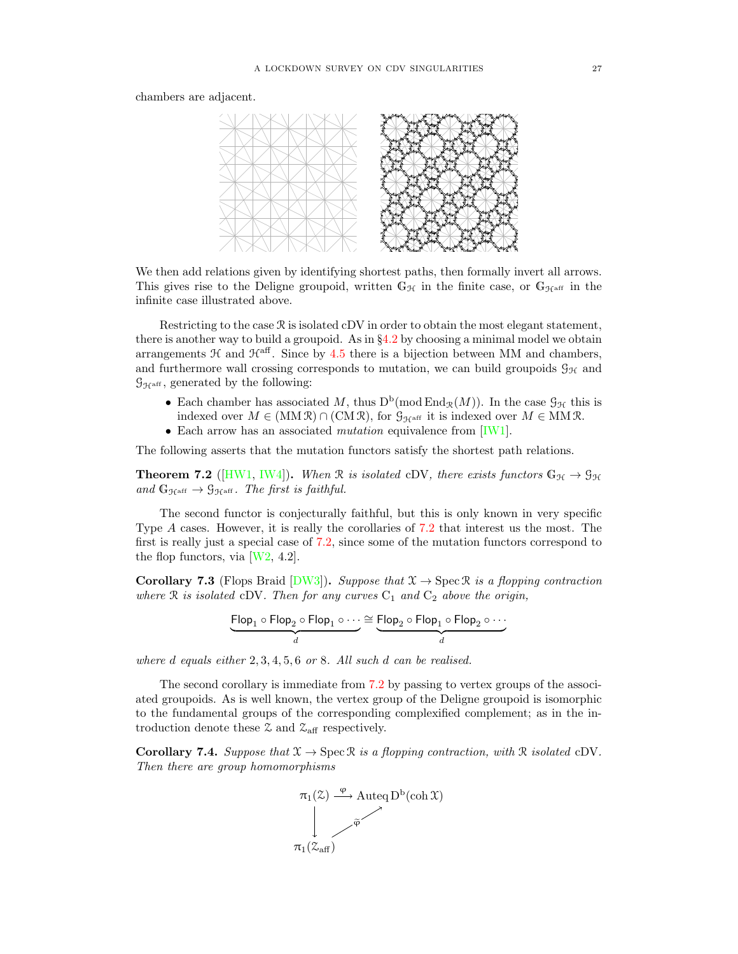chambers are adjacent.



We then add relations given by identifying shortest paths, then formally invert all arrows. This gives rise to the Deligne groupoid, written  $\mathbb{G}_{\mathcal{H}}$  in the finite case, or  $\mathbb{G}_{\mathcal{H}^{\text{aff}}}$  in the infinite case illustrated above.

Restricting to the case  $\Re$  is isolated cDV in order to obtain the most elegant statement, there is another way to build a groupoid. As in §[4.2](#page-16-4) by choosing a minimal model we obtain arrangements  $H$  and  $H<sup>aff</sup>$ . Since by [4.5](#page-17-1) there is a bijection between MM and chambers, and furthermore wall crossing corresponds to mutation, we can build groupoids  $\mathcal{G}_{H}$  and  $\mathcal{G}_{\mathcal{H}^{\mathrm{aff}}},$  generated by the following:

- Each chamber has associated M, thus  $D^b$ (mod  $\text{End}_{\mathcal{R}}(M)$ ). In the case  $\mathcal{G}_{\mathcal{H}}$  this is indexed over  $M \in (MM \mathcal{R}) \cap (CM \mathcal{R})$ , for  $\mathcal{G}_{\mathcal{H}^{\text{aff}}}$  it is indexed over  $M \in MM \mathcal{R}$ .
- Each arrow has an associated *mutation* equivalence from [\[IW1\]](#page-28-2).

The following asserts that the mutation functors satisfy the shortest path relations.

<span id="page-26-0"></span>**Theorem 7.2** ([\[HW1,](#page-28-31) [IW4\]](#page-28-7)). When R is isolated cDV, there exists functors  $G_{\mathcal{H}} \to \mathcal{G}_{\mathcal{H}}$ and  $G_{\mathcal{H}^{\text{aff}}} \to \mathcal{G}_{\mathcal{H}^{\text{aff}}}$ . The first is faithful.

The second functor is conjecturally faithful, but this is only known in very specific Type A cases. However, it is really the corollaries of [7.2](#page-26-0) that interest us the most. The first is really just a special case of [7.2,](#page-26-0) since some of the mutation functors correspond to the flop functors, via  $[W2, 4.2]$ .

**Corollary 7.3** (Flops Braid [\[DW3\]](#page-28-14)). Suppose that  $\mathcal{X} \to \text{Spec } \mathcal{R}$  is a flopping contraction where  $\Re$  is isolated cDV. Then for any curves  $C_1$  and  $C_2$  above the origin,

$$
\underbrace{\mathsf{Flop}_1 \circ \mathsf{Flop}_2 \circ \mathsf{Flop}_1 \circ \cdots}_{d} \cong \underbrace{\mathsf{Flop}_2 \circ \mathsf{Flop}_1 \circ \mathsf{Flop}_2 \circ \cdots}_{d}
$$

where d equals either  $2, 3, 4, 5, 6$  or 8. All such d can be realised.

The second corollary is immediate from [7.2](#page-26-0) by passing to vertex groups of the associated groupoids. As is well known, the vertex group of the Deligne groupoid is isomorphic to the fundamental groups of the corresponding complexified complement; as in the introduction denote these  $\mathfrak{Z}$  and  $\mathfrak{Z}_{\text{aff}}$  respectively.

<span id="page-26-1"></span>**Corollary 7.4.** Suppose that  $\mathcal{X} \to \text{Spec } \mathcal{R}$  is a flopping contraction, with  $\mathcal{R}$  isolated cDV. Then there are group homomorphisms

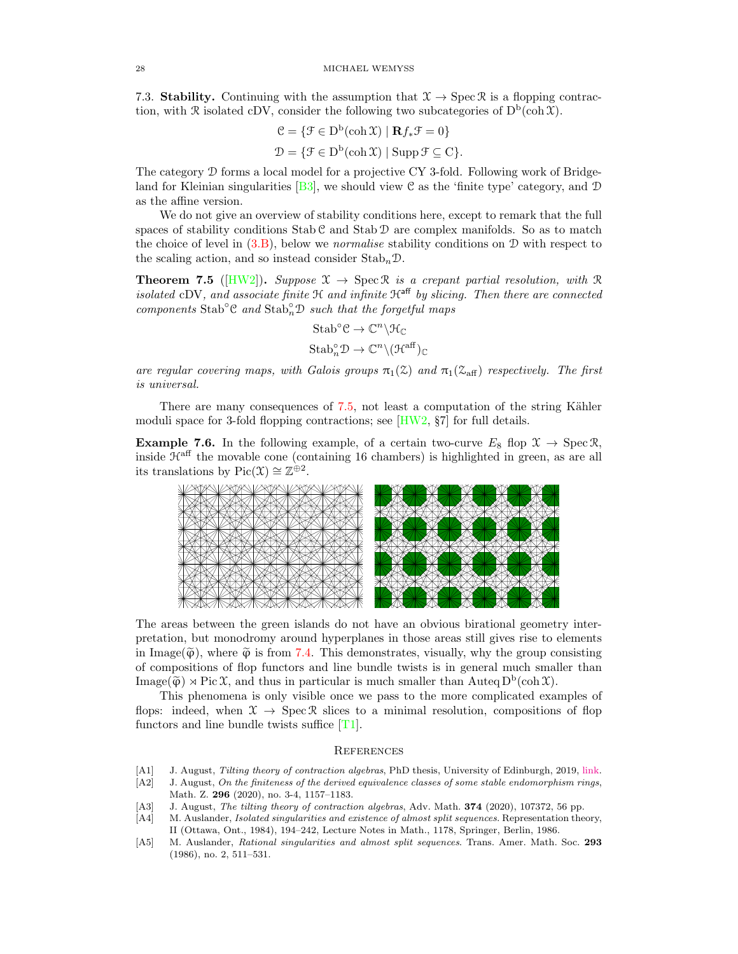7.3. Stability. Continuing with the assumption that  $\mathfrak{X} \to \text{Spec } \mathfrak{R}$  is a flopping contraction, with  $\mathcal R$  isolated cDV, consider the following two subcategories of  $D^b(\text{coh }\mathfrak{X})$ .

$$
\mathcal{C} = \{ \mathcal{F} \in \mathcal{D}^{\mathsf{b}}(\mathsf{coh}\,\mathfrak{X}) \mid \mathbf{R}f_*\mathcal{F} = 0 \}
$$

$$
\mathcal{D} = \{ \mathcal{F} \in \mathcal{D}^{\mathsf{b}}(\mathsf{coh}\,\mathfrak{X}) \mid \mathsf{Supp}\,\mathcal{F} \subseteq \mathcal{C} \}.
$$

The category D forms a local model for a projective CY 3-fold. Following work of Bridge-land for Kleinian singularities [\[B3\]](#page-28-32), we should view C as the 'finite type' category, and  $\mathcal D$ as the affine version.

We do not give an overview of stability conditions here, except to remark that the full spaces of stability conditions  $Stab C$  and  $Stab D$  are complex manifolds. So as to match the choice of level in  $(3.B)$ , below we *normalise* stability conditions on  $D$  with respect to the scaling action, and so instead consider  $\text{Stab}_n\mathcal{D}$ .

<span id="page-27-5"></span>**Theorem 7.5** ( $[HW2]$ ). Suppose  $\mathcal{X} \to \text{Spec } \mathcal{R}$  is a crepant partial resolution, with  $\mathcal{R}$ isolated cDV, and associate finite  $\mathcal{H}$  and infinite  $\mathcal{H}^{\text{aff}}$  by slicing. Then there are connected components Stab<sup></sup>°C and Stab<sup>°</sup>nD such that the forgetful maps

$$
\begin{aligned} \mathrm{Stab}^{\circ}\mathcal{C} &\rightarrow \mathbb{C}^n \backslash \mathcal{H}_{\mathbb{C}} \\ \mathrm{Stab}^{\circ}_{n}\mathcal{D} &\rightarrow \mathbb{C}^n \backslash (\mathcal{H}^{\mathrm{aff}})_{\mathbb{C}} \end{aligned}
$$

are regular covering maps, with Galois groups  $\pi_1(\mathcal{Z})$  and  $\pi_1(\mathcal{Z}_{\text{aff}})$  respectively. The first is universal.

There are many consequences of  $7.5$ , not least a computation of the string Kähler moduli space for 3-fold flopping contractions; see  $[HW2, \S7]$  for full details.

**Example 7.6.** In the following example, of a certain two-curve  $E_8$  flop  $\mathcal{X} \to \text{Spec } \mathcal{R}$ , inside  $\mathcal{H}^{\text{aff}}$  the movable cone (containing 16 chambers) is highlighted in green, as are all its translations by  $Pic(\mathfrak{X}) \cong \mathbb{Z}^{\oplus 2}$ .



The areas between the green islands do not have an obvious birational geometry interpretation, but monodromy around hyperplanes in those areas still gives rise to elements in Image( $\widetilde{\varphi}$ ), where  $\widetilde{\varphi}$  is from [7.4.](#page-26-1) This demonstrates, visually, why the group consisting of compositions of flop functors and line bundle twists is in general much smaller than Image( $\widetilde{\varphi}$ )  $\rtimes$  Pic X, and thus in particular is much smaller than Auteq D<sup>b</sup>(coh X).

This phenomena is only visible once we pass to the more complicated examples of flops: indeed, when  $\mathcal{X} \to \text{Spec } \mathcal{R}$  slices to a minimal resolution, compositions of flop functors and line bundle twists suffice [\[T1\]](#page-29-12).

### **REFERENCES**

- <span id="page-27-3"></span>[A1] J. August, Tilting theory of contraction algebras, PhD thesis, University of Edinburgh, 2019, [link.](https://era.ed.ac.uk/handle/1842/35985)
- <span id="page-27-4"></span>[A2] J. August, On the finiteness of the derived equivalence classes of some stable endomorphism rings, Math. Z. 296 (2020), no. 3-4, 1157–1183.
- <span id="page-27-2"></span>[A3] J. August, The tilting theory of contraction algebras, Adv. Math. **374** (2020), 107372, 56 pp.
- <span id="page-27-1"></span>[A4] M. Auslander, Isolated singularities and existence of almost split sequences. Representation theory, II (Ottawa, Ont., 1984), 194–242, Lecture Notes in Math., 1178, Springer, Berlin, 1986.
- <span id="page-27-0"></span>[A5] M. Auslander, Rational singularities and almost split sequences. Trans. Amer. Math. Soc. 293 (1986), no. 2, 511–531.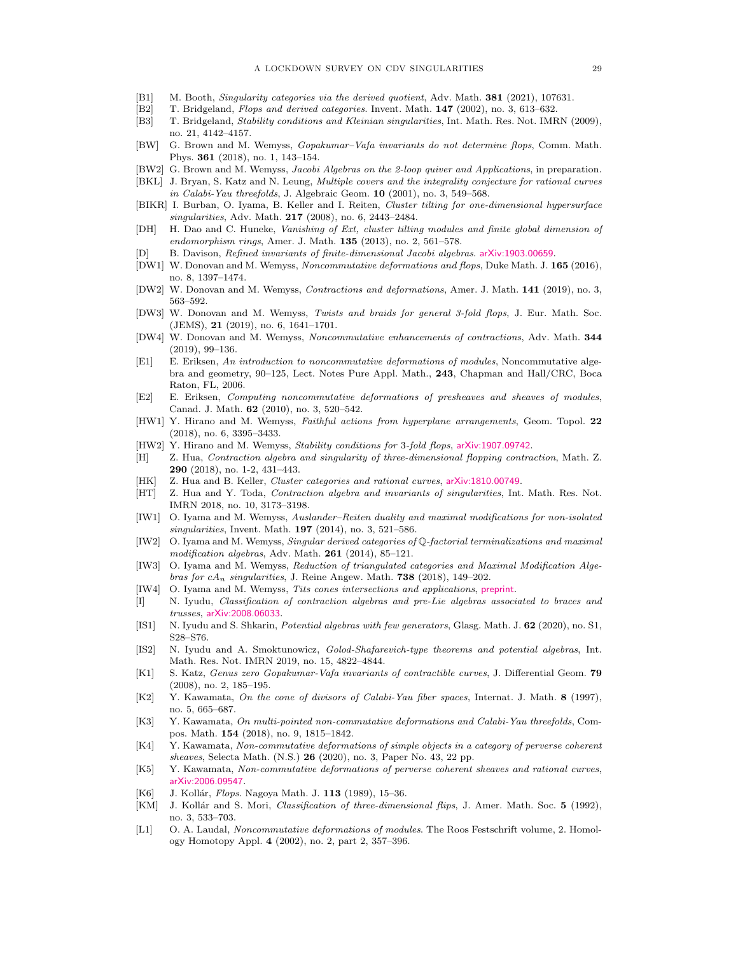- <span id="page-28-20"></span>[B1] M. Booth, Singularity categories via the derived quotient, Adv. Math. 381 (2021), 107631.
- <span id="page-28-1"></span>[B2] T. Bridgeland, Flops and derived categories. Invent. Math. 147 (2002), no. 3, 613–632.
- <span id="page-28-32"></span>[B3] T. Bridgeland, Stability conditions and Kleinian singularities, Int. Math. Res. Not. IMRN (2009), no. 21, 4142–4157.
- <span id="page-28-16"></span>[BW] G. Brown and M. Wemyss, Gopakumar–Vafa invariants do not determine flops, Comm. Math. Phys. 361 (2018), no. 1, 143–154.
- <span id="page-28-21"></span>[BW2] G. Brown and M. Wemyss, Jacobi Algebras on the 2-loop quiver and Applications, in preparation.
- <span id="page-28-26"></span>[BKL] J. Bryan, S. Katz and N. Leung, Multiple covers and the integrality conjecture for rational curves in Calabi-Yau threefolds, J. Algebraic Geom. 10 (2001), no. 3, 549–568.
- <span id="page-28-28"></span>[BIKR] I. Burban, O. Iyama, B. Keller and I. Reiten, Cluster tilting for one-dimensional hypersurface singularities, Adv. Math. 217 (2008), no. 6, 2443–2484.
- <span id="page-28-29"></span>[DH] H. Dao and C. Huneke, Vanishing of Ext, cluster tilting modules and finite global dimension of endomorphism rings, Amer. J. Math.  $135$  (2013), no. 2, 561–578.
- <span id="page-28-25"></span>[D] B. Davison, Refined invariants of finite-dimensional Jacobi algebras. [arXiv:1903.00659](https://arxiv.org/abs/1903.00659).
- <span id="page-28-8"></span>[DW1] W. Donovan and M. Wemyss, Noncommutative deformations and flops, Duke Math. J. 165 (2016), no. 8, 1397–1474.
- <span id="page-28-15"></span>[DW2] W. Donovan and M. Wemyss, Contractions and deformations, Amer. J. Math. 141 (2019), no. 3, 563–592.
- <span id="page-28-14"></span>[DW3] W. Donovan and M. Wemyss, Twists and braids for general 3-fold flops, J. Eur. Math. Soc. (JEMS), 21 (2019), no. 6, 1641–1701.
- <span id="page-28-3"></span>[DW4] W. Donovan and M. Wemyss, Noncommutative enhancements of contractions, Adv. Math. 344 (2019), 99–136.
- <span id="page-28-11"></span>[E1] E. Eriksen, An introduction to noncommutative deformations of modules, Noncommutative algebra and geometry, 90–125, Lect. Notes Pure Appl. Math., 243, Chapman and Hall/CRC, Boca Raton, FL, 2006.
- <span id="page-28-10"></span>[E2] E. Eriksen, Computing noncommutative deformations of presheaves and sheaves of modules, Canad. J. Math. 62 (2010), no. 3, 520–542.
- <span id="page-28-31"></span>[HW1] Y. Hirano and M. Wemyss, Faithful actions from hyperplane arrangements, Geom. Topol. 22 (2018), no. 6, 3395–3433.
- <span id="page-28-33"></span>[HW2] Y. Hirano and M. Wemyss, Stability conditions for 3-fold flops, [arXiv:1907.09742](https://arxiv.org/abs/1907.09742).
- <span id="page-28-18"></span>[H] Z. Hua, Contraction algebra and singularity of three-dimensional flopping contraction, Math. Z. 290 (2018), no. 1-2, 431–443.
- <span id="page-28-19"></span>[HK] Z. Hua and B. Keller, Cluster categories and rational curves, [arXiv:1810.00749](https://arxiv.org/abs/1810.00749).
- <span id="page-28-27"></span>[HT] Z. Hua and Y. Toda, Contraction algebra and invariants of singularities, Int. Math. Res. Not. IMRN 2018, no. 10, 3173–3198.
- <span id="page-28-2"></span>[IW1] O. Iyama and M. Wemyss, Auslander–Reiten duality and maximal modifications for non-isolated singularities, Invent. Math.  $197$  (2014), no. 3, 521–586.
- <span id="page-28-0"></span>[IW2] O. Iyama and M. Wemyss, Singular derived categories of Q-factorial terminalizations and maximal modification algebras, Adv. Math. 261 (2014), 85-121.
- <span id="page-28-30"></span>[IW3] O. Iyama and M. Wemyss, Reduction of triangulated categories and Maximal Modification Algebras for  $cA_n$  singularities, J. Reine Angew. Math. 738 (2018), 149–202.
- <span id="page-28-7"></span>[IW4] O. Iyama and M. Wemyss, Tits cones intersections and applications, [preprint](https://www.maths.gla.ac.uk/~mwemyss/MainFile_for_web.pdf).
- <span id="page-28-22"></span>[I] N. Iyudu, Classification of contraction algebras and pre-Lie algebras associated to braces and trusses, [arXiv:2008.06033](https://arxiv.org/abs/2008.06033).
- <span id="page-28-23"></span>[IS1] N. Iyudu and S. Shkarin, Potential algebras with few generators, Glasg. Math. J. 62 (2020), no. S1, S28–S76.
- <span id="page-28-24"></span>[IS2] N. Iyudu and A. Smoktunowicz, Golod-Shafarevich-type theorems and potential algebras, Int. Math. Res. Not. IMRN 2019, no. 15, 4822–4844.
- [K1] S. Katz, Genus zero Gopakumar-Vafa invariants of contractible curves, J. Differential Geom. 79 (2008), no. 2, 185–195.
- <span id="page-28-6"></span>[K2] Y. Kawamata, On the cone of divisors of Calabi-Yau fiber spaces, Internat. J. Math. 8 (1997), no. 5, 665–687.
- <span id="page-28-12"></span>[K3] Y. Kawamata, On multi-pointed non-commutative deformations and Calabi-Yau threefolds, Compos. Math. 154 (2018), no. 9, 1815–1842.
- <span id="page-28-13"></span>[K4] Y. Kawamata, Non-commutative deformations of simple objects in a category of perverse coherent sheaves, Selecta Math. (N.S.) 26 (2020), no. 3, Paper No. 43, 22 pp.
- <span id="page-28-17"></span>[K5] Y. Kawamata, Non-commutative deformations of perverse coherent sheaves and rational curves, [arXiv:2006.09547](https://arxiv.org/abs/2006.09547).
- <span id="page-28-5"></span>[K6] J. Kollár, Flops. Nagoya Math. J. 113 (1989), 15-36.
- <span id="page-28-4"></span>[KM] J. Kollár and S. Mori, Classification of three-dimensional flips, J. Amer. Math. Soc. 5 (1992), no. 3, 533–703.
- <span id="page-28-9"></span>[L1] O. A. Laudal, Noncommutative deformations of modules. The Roos Festschrift volume, 2. Homology Homotopy Appl. 4 (2002), no. 2, part 2, 357–396.